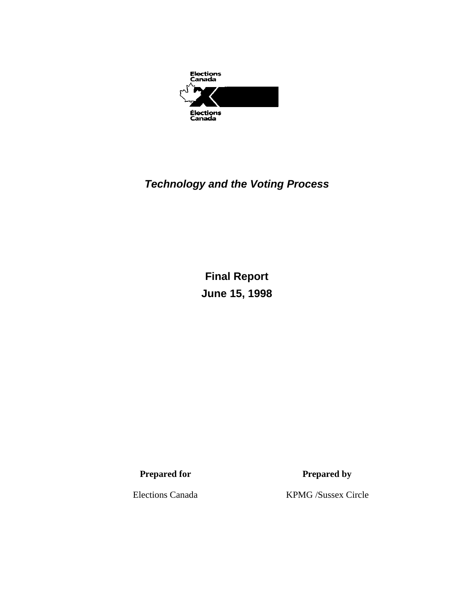

## *Technology and the Voting Process*

**Final Report June 15, 1998** 

**Prepared for Prepared by** 

Elections Canada KPMG /Sussex Circle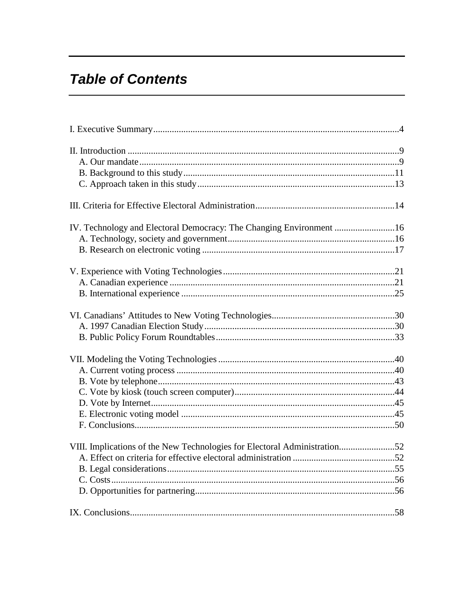# **Table of Contents**

| IV. Technology and Electoral Democracy: The Changing Environment 16       |  |
|---------------------------------------------------------------------------|--|
|                                                                           |  |
|                                                                           |  |
|                                                                           |  |
| VIII. Implications of the New Technologies for Electoral Administration52 |  |
|                                                                           |  |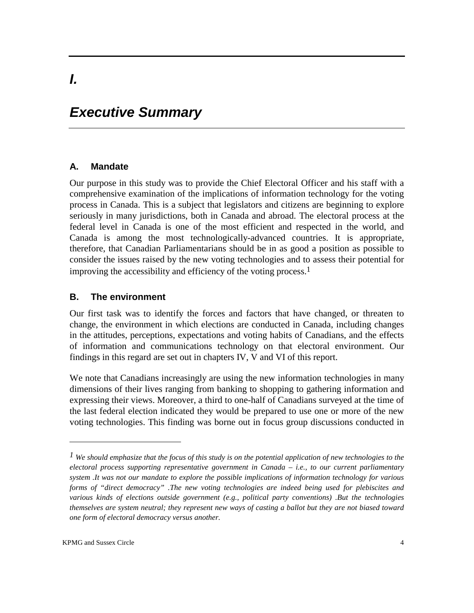# *Executive Summary*

#### **A. Mandate**

*I.*

Our purpose in this study was to provide the Chief Electoral Officer and his staff with a comprehensive examination of the implications of information technology for the voting process in Canada. This is a subject that legislators and citizens are beginning to explore seriously in many jurisdictions, both in Canada and abroad. The electoral process at the federal level in Canada is one of the most efficient and respected in the world, and Canada is among the most technologically-advanced countries. It is appropriate, therefore, that Canadian Parliamentarians should be in as good a position as possible to consider the issues raised by the new voting technologies and to assess their potential for improving the accessibility and efficiency of the voting process.1

#### **B. The environment**

Our first task was to identify the forces and factors that have changed, or threaten to change, the environment in which elections are conducted in Canada, including changes in the attitudes, perceptions, expectations and voting habits of Canadians, and the effects of information and communications technology on that electoral environment. Our findings in this regard are set out in chapters IV, V and VI of this report.

We note that Canadians increasingly are using the new information technologies in many dimensions of their lives ranging from banking to shopping to gathering information and expressing their views. Moreover, a third to one-half of Canadians surveyed at the time of the last federal election indicated they would be prepared to use one or more of the new voting technologies. This finding was borne out in focus group discussions conducted in

*<sup>1</sup> We should emphasize that the focus of this study is on the potential application of new technologies to the electoral process supporting representative government in Canada – i.e., to our current parliamentary system .It was not our mandate to explore the possible implications of information technology for various forms of "direct democracy" .The new voting technologies are indeed being used for plebiscites and various kinds of elections outside government (e.g., political party conventions) .But the technologies themselves are system neutral; they represent new ways of casting a ballot but they are not biased toward one form of electoral democracy versus another.*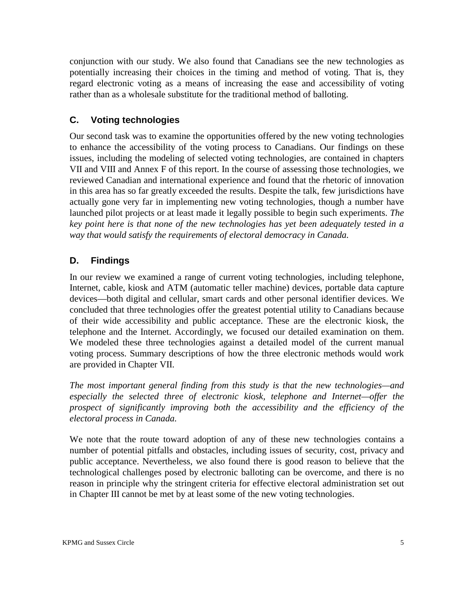conjunction with our study. We also found that Canadians see the new technologies as potentially increasing their choices in the timing and method of voting. That is, they regard electronic voting as a means of increasing the ease and accessibility of voting rather than as a wholesale substitute for the traditional method of balloting.

### **C. Voting technologies**

Our second task was to examine the opportunities offered by the new voting technologies to enhance the accessibility of the voting process to Canadians. Our findings on these issues, including the modeling of selected voting technologies, are contained in chapters VII and VIII and Annex F of this report. In the course of assessing those technologies, we reviewed Canadian and international experience and found that the rhetoric of innovation in this area has so far greatly exceeded the results. Despite the talk, few jurisdictions have actually gone very far in implementing new voting technologies, though a number have launched pilot projects or at least made it legally possible to begin such experiments. *The key point here is that none of the new technologies has yet been adequately tested in a way that would satisfy the requirements of electoral democracy in Canada.* 

### **D. Findings**

In our review we examined a range of current voting technologies, including telephone, Internet, cable, kiosk and ATM (automatic teller machine) devices, portable data capture devices—both digital and cellular, smart cards and other personal identifier devices. We concluded that three technologies offer the greatest potential utility to Canadians because of their wide accessibility and public acceptance. These are the electronic kiosk, the telephone and the Internet. Accordingly, we focused our detailed examination on them. We modeled these three technologies against a detailed model of the current manual voting process. Summary descriptions of how the three electronic methods would work are provided in Chapter VII.

*The most important general finding from this study is that the new technologies—and especially the selected three of electronic kiosk, telephone and Internet—offer the prospect of significantly improving both the accessibility and the efficiency of the electoral process in Canada.* 

We note that the route toward adoption of any of these new technologies contains a number of potential pitfalls and obstacles, including issues of security, cost, privacy and public acceptance. Nevertheless, we also found there is good reason to believe that the technological challenges posed by electronic balloting can be overcome, and there is no reason in principle why the stringent criteria for effective electoral administration set out in Chapter III cannot be met by at least some of the new voting technologies.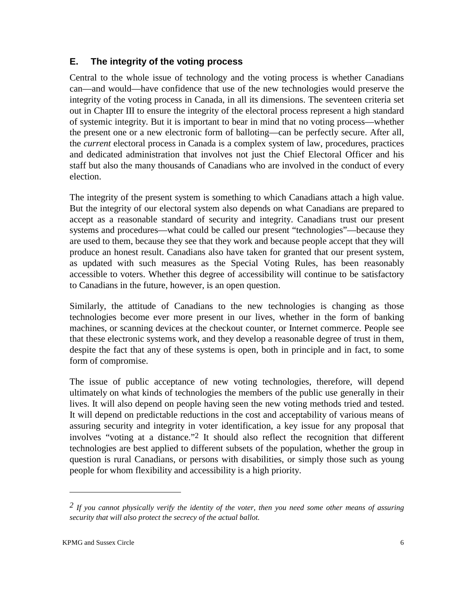#### **E. The integrity of the voting process**

Central to the whole issue of technology and the voting process is whether Canadians can—and would—have confidence that use of the new technologies would preserve the integrity of the voting process in Canada, in all its dimensions. The seventeen criteria set out in Chapter III to ensure the integrity of the electoral process represent a high standard of systemic integrity. But it is important to bear in mind that no voting process—whether the present one or a new electronic form of balloting—can be perfectly secure. After all, the *current* electoral process in Canada is a complex system of law, procedures, practices and dedicated administration that involves not just the Chief Electoral Officer and his staff but also the many thousands of Canadians who are involved in the conduct of every election.

The integrity of the present system is something to which Canadians attach a high value. But the integrity of our electoral system also depends on what Canadians are prepared to accept as a reasonable standard of security and integrity. Canadians trust our present systems and procedures—what could be called our present "technologies"—because they are used to them, because they see that they work and because people accept that they will produce an honest result. Canadians also have taken for granted that our present system, as updated with such measures as the Special Voting Rules, has been reasonably accessible to voters. Whether this degree of accessibility will continue to be satisfactory to Canadians in the future, however, is an open question.

Similarly, the attitude of Canadians to the new technologies is changing as those technologies become ever more present in our lives, whether in the form of banking machines, or scanning devices at the checkout counter, or Internet commerce. People see that these electronic systems work, and they develop a reasonable degree of trust in them, despite the fact that any of these systems is open, both in principle and in fact, to some form of compromise.

The issue of public acceptance of new voting technologies, therefore, will depend ultimately on what kinds of technologies the members of the public use generally in their lives. It will also depend on people having seen the new voting methods tried and tested. It will depend on predictable reductions in the cost and acceptability of various means of assuring security and integrity in voter identification, a key issue for any proposal that involves "voting at a distance."2 It should also reflect the recognition that different technologies are best applied to different subsets of the population, whether the group in question is rural Canadians, or persons with disabilities, or simply those such as young people for whom flexibility and accessibility is a high priority.

*<sup>2</sup> If you cannot physically verify the identity of the voter, then you need some other means of assuring security that will also protect the secrecy of the actual ballot.*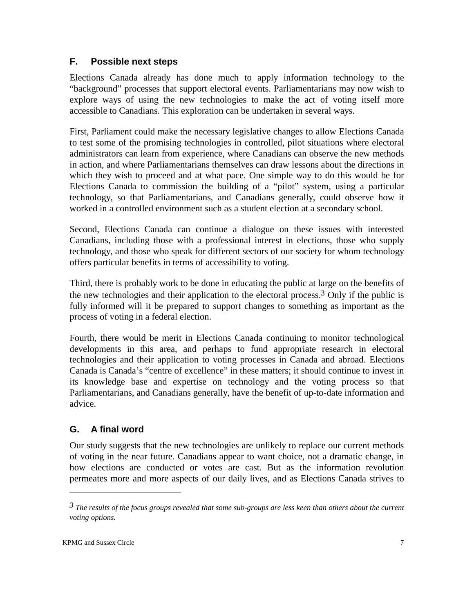#### **F. Possible next steps**

Elections Canada already has done much to apply information technology to the "background" processes that support electoral events. Parliamentarians may now wish to explore ways of using the new technologies to make the act of voting itself more accessible to Canadians. This exploration can be undertaken in several ways.

First, Parliament could make the necessary legislative changes to allow Elections Canada to test some of the promising technologies in controlled, pilot situations where electoral administrators can learn from experience, where Canadians can observe the new methods in action, and where Parliamentarians themselves can draw lessons about the directions in which they wish to proceed and at what pace. One simple way to do this would be for Elections Canada to commission the building of a "pilot" system, using a particular technology, so that Parliamentarians, and Canadians generally, could observe how it worked in a controlled environment such as a student election at a secondary school.

Second, Elections Canada can continue a dialogue on these issues with interested Canadians, including those with a professional interest in elections, those who supply technology, and those who speak for different sectors of our society for whom technology offers particular benefits in terms of accessibility to voting.

Third, there is probably work to be done in educating the public at large on the benefits of the new technologies and their application to the electoral process.3 Only if the public is fully informed will it be prepared to support changes to something as important as the process of voting in a federal election.

Fourth, there would be merit in Elections Canada continuing to monitor technological developments in this area, and perhaps to fund appropriate research in electoral technologies and their application to voting processes in Canada and abroad. Elections Canada is Canada's "centre of excellence" in these matters; it should continue to invest in its knowledge base and expertise on technology and the voting process so that Parliamentarians, and Canadians generally, have the benefit of up-to-date information and advice.

### **G. A final word**

Our study suggests that the new technologies are unlikely to replace our current methods of voting in the near future. Canadians appear to want choice, not a dramatic change, in how elections are conducted or votes are cast. But as the information revolution permeates more and more aspects of our daily lives, and as Elections Canada strives to

*<sup>3</sup> The results of the focus groups revealed that some sub-groups are less keen than others about the current voting options.*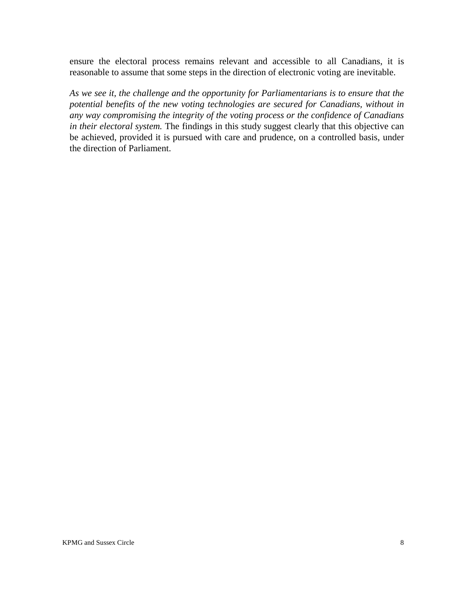ensure the electoral process remains relevant and accessible to all Canadians, it is reasonable to assume that some steps in the direction of electronic voting are inevitable.

*As we see it, the challenge and the opportunity for Parliamentarians is to ensure that the potential benefits of the new voting technologies are secured for Canadians, without in any way compromising the integrity of the voting process or the confidence of Canadians in their electoral system.* The findings in this study suggest clearly that this objective can be achieved, provided it is pursued with care and prudence, on a controlled basis, under the direction of Parliament.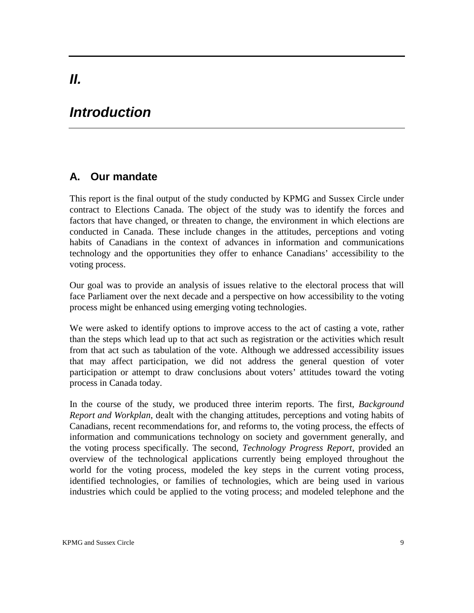# *Introduction*

## **A. Our mandate**

This report is the final output of the study conducted by KPMG and Sussex Circle under contract to Elections Canada. The object of the study was to identify the forces and factors that have changed, or threaten to change, the environment in which elections are conducted in Canada. These include changes in the attitudes, perceptions and voting habits of Canadians in the context of advances in information and communications technology and the opportunities they offer to enhance Canadians' accessibility to the voting process.

Our goal was to provide an analysis of issues relative to the electoral process that will face Parliament over the next decade and a perspective on how accessibility to the voting process might be enhanced using emerging voting technologies.

We were asked to identify options to improve access to the act of casting a vote, rather than the steps which lead up to that act such as registration or the activities which result from that act such as tabulation of the vote. Although we addressed accessibility issues that may affect participation, we did not address the general question of voter participation or attempt to draw conclusions about voters' attitudes toward the voting process in Canada today.

In the course of the study, we produced three interim reports. The first, *Background Report and Workplan*, dealt with the changing attitudes, perceptions and voting habits of Canadians, recent recommendations for, and reforms to, the voting process, the effects of information and communications technology on society and government generally, and the voting process specifically. The second, *Technology Progress Report*, provided an overview of the technological applications currently being employed throughout the world for the voting process, modeled the key steps in the current voting process, identified technologies, or families of technologies, which are being used in various industries which could be applied to the voting process; and modeled telephone and the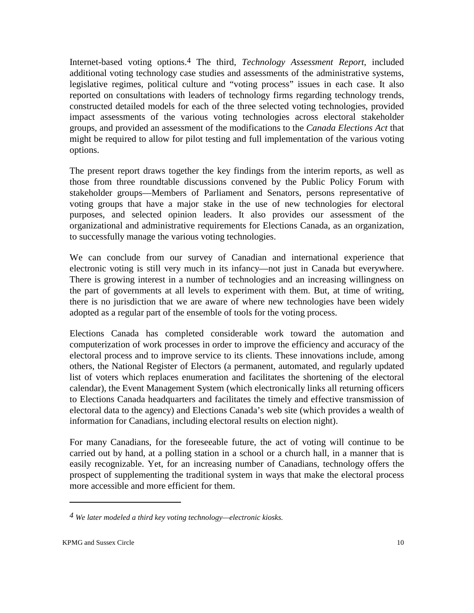Internet-based voting options.4 The third, *Technology Assessment Report*, included additional voting technology case studies and assessments of the administrative systems, legislative regimes, political culture and "voting process" issues in each case. It also reported on consultations with leaders of technology firms regarding technology trends, constructed detailed models for each of the three selected voting technologies, provided impact assessments of the various voting technologies across electoral stakeholder groups, and provided an assessment of the modifications to the *Canada Elections Act* that might be required to allow for pilot testing and full implementation of the various voting options.

The present report draws together the key findings from the interim reports, as well as those from three roundtable discussions convened by the Public Policy Forum with stakeholder groups—Members of Parliament and Senators, persons representative of voting groups that have a major stake in the use of new technologies for electoral purposes, and selected opinion leaders. It also provides our assessment of the organizational and administrative requirements for Elections Canada, as an organization, to successfully manage the various voting technologies.

We can conclude from our survey of Canadian and international experience that electronic voting is still very much in its infancy—not just in Canada but everywhere. There is growing interest in a number of technologies and an increasing willingness on the part of governments at all levels to experiment with them. But, at time of writing, there is no jurisdiction that we are aware of where new technologies have been widely adopted as a regular part of the ensemble of tools for the voting process.

Elections Canada has completed considerable work toward the automation and computerization of work processes in order to improve the efficiency and accuracy of the electoral process and to improve service to its clients. These innovations include, among others, the National Register of Electors (a permanent, automated, and regularly updated list of voters which replaces enumeration and facilitates the shortening of the electoral calendar), the Event Management System (which electronically links all returning officers to Elections Canada headquarters and facilitates the timely and effective transmission of electoral data to the agency) and Elections Canada's web site (which provides a wealth of information for Canadians, including electoral results on election night).

For many Canadians, for the foreseeable future, the act of voting will continue to be carried out by hand, at a polling station in a school or a church hall, in a manner that is easily recognizable. Yet, for an increasing number of Canadians, technology offers the prospect of supplementing the traditional system in ways that make the electoral process more accessible and more efficient for them.

*<sup>4</sup> We later modeled a third key voting technology—electronic kiosks.*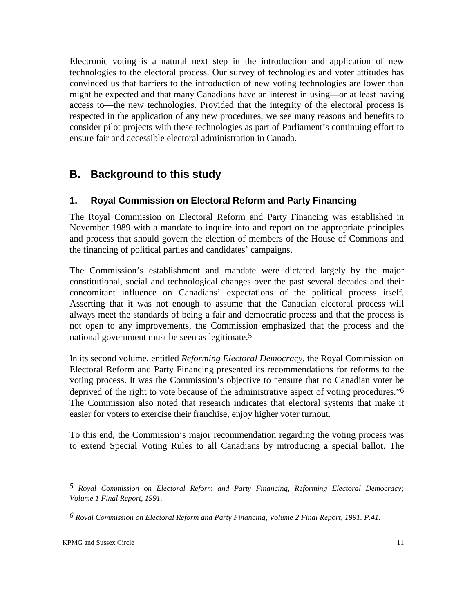Electronic voting is a natural next step in the introduction and application of new technologies to the electoral process. Our survey of technologies and voter attitudes has convinced us that barriers to the introduction of new voting technologies are lower than might be expected and that many Canadians have an interest in using—or at least having access to—the new technologies. Provided that the integrity of the electoral process is respected in the application of any new procedures, we see many reasons and benefits to consider pilot projects with these technologies as part of Parliament's continuing effort to ensure fair and accessible electoral administration in Canada.

## **B. Background to this study**

#### **1. Royal Commission on Electoral Reform and Party Financing**

The Royal Commission on Electoral Reform and Party Financing was established in November 1989 with a mandate to inquire into and report on the appropriate principles and process that should govern the election of members of the House of Commons and the financing of political parties and candidates' campaigns.

The Commission's establishment and mandate were dictated largely by the major constitutional, social and technological changes over the past several decades and their concomitant influence on Canadians' expectations of the political process itself. Asserting that it was not enough to assume that the Canadian electoral process will always meet the standards of being a fair and democratic process and that the process is not open to any improvements, the Commission emphasized that the process and the national government must be seen as legitimate.<sup>5</sup>

In its second volume, entitled *Reforming Electoral Democracy,* the Royal Commission on Electoral Reform and Party Financing presented its recommendations for reforms to the voting process. It was the Commission's objective to "ensure that no Canadian voter be deprived of the right to vote because of the administrative aspect of voting procedures."6 The Commission also noted that research indicates that electoral systems that make it easier for voters to exercise their franchise, enjoy higher voter turnout.

To this end, the Commission's major recommendation regarding the voting process was to extend Special Voting Rules to all Canadians by introducing a special ballot. The

*<sup>5</sup> Royal Commission on Electoral Reform and Party Financing, Reforming Electoral Democracy; Volume 1 Final Report, 1991.* 

*<sup>6</sup> Royal Commission on Electoral Reform and Party Financing, Volume 2 Final Report, 1991. P.41.*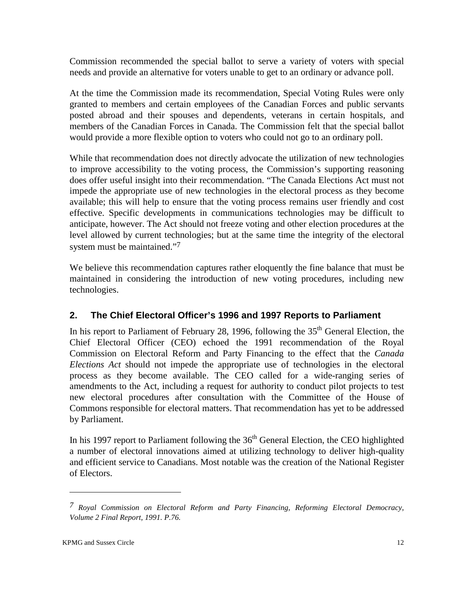Commission recommended the special ballot to serve a variety of voters with special needs and provide an alternative for voters unable to get to an ordinary or advance poll.

At the time the Commission made its recommendation, Special Voting Rules were only granted to members and certain employees of the Canadian Forces and public servants posted abroad and their spouses and dependents, veterans in certain hospitals, and members of the Canadian Forces in Canada. The Commission felt that the special ballot would provide a more flexible option to voters who could not go to an ordinary poll.

While that recommendation does not directly advocate the utilization of new technologies to improve accessibility to the voting process, the Commission's supporting reasoning does offer useful insight into their recommendation. "The Canada Elections Act must not impede the appropriate use of new technologies in the electoral process as they become available; this will help to ensure that the voting process remains user friendly and cost effective. Specific developments in communications technologies may be difficult to anticipate, however. The Act should not freeze voting and other election procedures at the level allowed by current technologies; but at the same time the integrity of the electoral system must be maintained."<sup>7</sup>

We believe this recommendation captures rather eloquently the fine balance that must be maintained in considering the introduction of new voting procedures, including new technologies.

### **2. The Chief Electoral Officer's 1996 and 1997 Reports to Parliament**

In his report to Parliament of February 28, 1996, following the  $35<sup>th</sup>$  General Election, the Chief Electoral Officer (CEO) echoed the 1991 recommendation of the Royal Commission on Electoral Reform and Party Financing to the effect that the *Canada Elections Act* should not impede the appropriate use of technologies in the electoral process as they become available. The CEO called for a wide-ranging series of amendments to the Act, including a request for authority to conduct pilot projects to test new electoral procedures after consultation with the Committee of the House of Commons responsible for electoral matters. That recommendation has yet to be addressed by Parliament.

In his 1997 report to Parliament following the  $36<sup>th</sup>$  General Election, the CEO highlighted a number of electoral innovations aimed at utilizing technology to deliver high-quality and efficient service to Canadians. Most notable was the creation of the National Register of Electors.

*<sup>7</sup> Royal Commission on Electoral Reform and Party Financing, Reforming Electoral Democracy, Volume 2 Final Report, 1991. P.76.*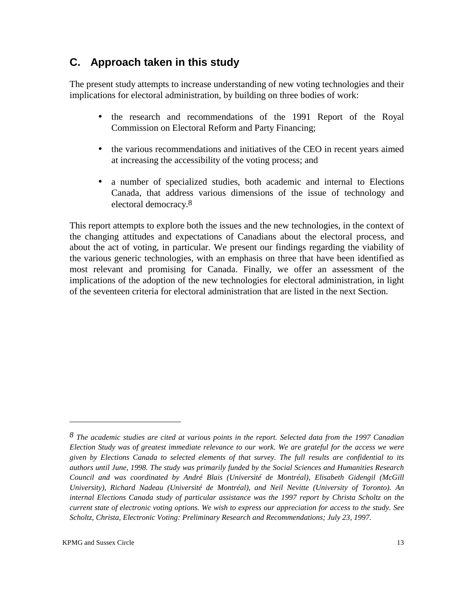## **C. Approach taken in this study**

The present study attempts to increase understanding of new voting technologies and their implications for electoral administration, by building on three bodies of work:

- the research and recommendations of the 1991 Report of the Royal Commission on Electoral Reform and Party Financing;
- the various recommendations and initiatives of the CEO in recent years aimed at increasing the accessibility of the voting process; and
- a number of specialized studies, both academic and internal to Elections Canada, that address various dimensions of the issue of technology and electoral democracy. 8

This report attempts to explore both the issues and the new technologies, in the context of the changing attitudes and expectations of Canadians about the electoral process, and about the act of voting, in particular. We present our findings regarding the viability of the various generic technologies, with an emphasis on three that have been identified as most relevant and promising for Canada. Finally, we offer an assessment of the implications of the adoption of the new technologies for electoral administration, in light of the seventeen criteria for electoral administration that are listed in the next Section.

*<sup>8</sup> The academic studies are cited at various points in the report. Selected data from the 1997 Canadian Election Study was of greatest immediate relevance to our work. We are grateful for the access we were given by Elections Canada to selected elements of that survey. The full results are confidential to its authors until June, 1998. The study was primarily funded by the Social Sciences and Humanities Research Council and was coordinated by André Blais (Université de Montréal), Elisabeth Gidengil (McGill University), Richard Nadeau (Université de Montréal), and Neil Nevitte (University of Toronto). An internal Elections Canada study of particular assistance was the 1997 report by Christa Scholtz on the current state of electronic voting options. We wish to express our appreciation for access to the study. See Scholtz, Christa, Electronic Voting: Preliminary Research and Recommendations; July 23, 1997.*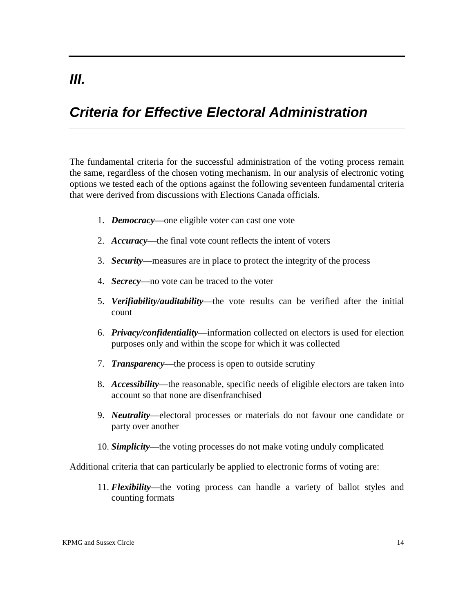# *Criteria for Effective Electoral Administration*

The fundamental criteria for the successful administration of the voting process remain the same, regardless of the chosen voting mechanism. In our analysis of electronic voting options we tested each of the options against the following seventeen fundamental criteria that were derived from discussions with Elections Canada officials.

- 1. *Democracy—*one eligible voter can cast one vote
- 2. *Accuracy*—the final vote count reflects the intent of voters
- 3. *Security*—measures are in place to protect the integrity of the process
- 4. *Secrecy*—no vote can be traced to the voter
- 5. *Verifiability/auditability*—the vote results can be verified after the initial count
- 6. *Privacy/confidentiality*—information collected on electors is used for election purposes only and within the scope for which it was collected
- 7. *Transparency*—the process is open to outside scrutiny
- 8. *Accessibility*—the reasonable, specific needs of eligible electors are taken into account so that none are disenfranchised
- 9. *Neutrality*—electoral processes or materials do not favour one candidate or party over another
- 10. *Simplicity*—the voting processes do not make voting unduly complicated

Additional criteria that can particularly be applied to electronic forms of voting are:

11. *Flexibility*—the voting process can handle a variety of ballot styles and counting formats

# *III.*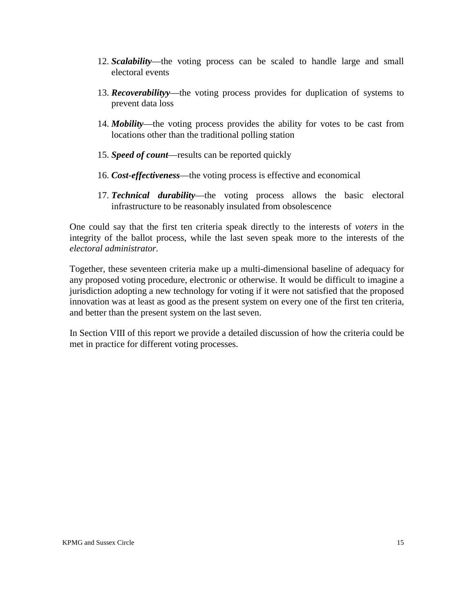- 12. *Scalability*—the voting process can be scaled to handle large and small electoral events
- 13. *Recoverabilityy*—the voting process provides for duplication of systems to prevent data loss
- 14. *Mobility*—the voting process provides the ability for votes to be cast from locations other than the traditional polling station
- 15. *Speed of count*—results can be reported quickly
- 16. *Cost-effectiveness*—the voting process is effective and economical
- 17. *Technical durability*—the voting process allows the basic electoral infrastructure to be reasonably insulated from obsolescence

One could say that the first ten criteria speak directly to the interests of *voters* in the integrity of the ballot process, while the last seven speak more to the interests of the *electoral administrator.* 

Together, these seventeen criteria make up a multi-dimensional baseline of adequacy for any proposed voting procedure, electronic or otherwise. It would be difficult to imagine a jurisdiction adopting a new technology for voting if it were not satisfied that the proposed innovation was at least as good as the present system on every one of the first ten criteria, and better than the present system on the last seven.

In Section VIII of this report we provide a detailed discussion of how the criteria could be met in practice for different voting processes.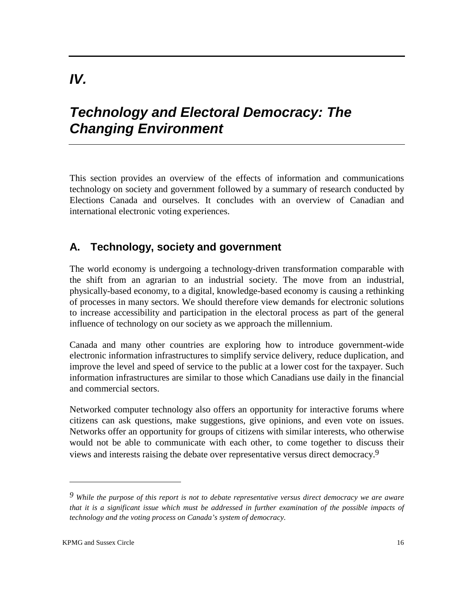# *IV.*

# *Technology and Electoral Democracy: The Changing Environment*

This section provides an overview of the effects of information and communications technology on society and government followed by a summary of research conducted by Elections Canada and ourselves. It concludes with an overview of Canadian and international electronic voting experiences.

### **A. Technology, society and government**

The world economy is undergoing a technology-driven transformation comparable with the shift from an agrarian to an industrial society. The move from an industrial, physically-based economy, to a digital, knowledge-based economy is causing a rethinking of processes in many sectors. We should therefore view demands for electronic solutions to increase accessibility and participation in the electoral process as part of the general influence of technology on our society as we approach the millennium.

Canada and many other countries are exploring how to introduce government-wide electronic information infrastructures to simplify service delivery, reduce duplication, and improve the level and speed of service to the public at a lower cost for the taxpayer. Such information infrastructures are similar to those which Canadians use daily in the financial and commercial sectors.

Networked computer technology also offers an opportunity for interactive forums where citizens can ask questions, make suggestions, give opinions, and even vote on issues. Networks offer an opportunity for groups of citizens with similar interests, who otherwise would not be able to communicate with each other, to come together to discuss their views and interests raising the debate over representative versus direct democracy. 9

*<sup>9</sup> While the purpose of this report is not to debate representative versus direct democracy we are aware that it is a significant issue which must be addressed in further examination of the possible impacts of technology and the voting process on Canada's system of democracy.*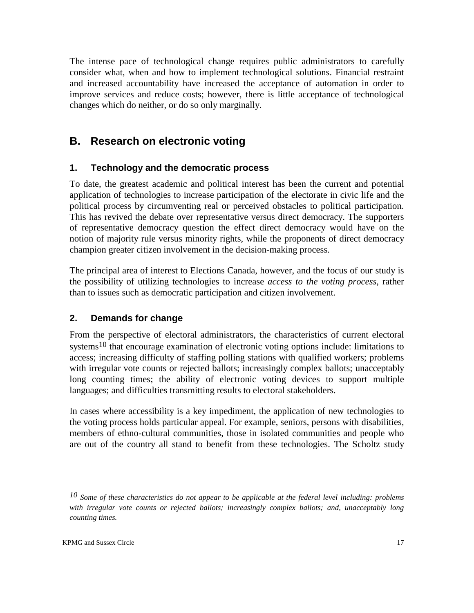The intense pace of technological change requires public administrators to carefully consider what, when and how to implement technological solutions. Financial restraint and increased accountability have increased the acceptance of automation in order to improve services and reduce costs; however, there is little acceptance of technological changes which do neither, or do so only marginally.

## **B. Research on electronic voting**

#### **1. Technology and the democratic process**

To date, the greatest academic and political interest has been the current and potential application of technologies to increase participation of the electorate in civic life and the political process by circumventing real or perceived obstacles to political participation. This has revived the debate over representative versus direct democracy. The supporters of representative democracy question the effect direct democracy would have on the notion of majority rule versus minority rights, while the proponents of direct democracy champion greater citizen involvement in the decision-making process.

The principal area of interest to Elections Canada, however, and the focus of our study is the possibility of utilizing technologies to increase *access to the voting process*, rather than to issues such as democratic participation and citizen involvement.

#### **2. Demands for change**

From the perspective of electoral administrators, the characteristics of current electoral systems<sup>10</sup> that encourage examination of electronic voting options include: limitations to access; increasing difficulty of staffing polling stations with qualified workers; problems with irregular vote counts or rejected ballots; increasingly complex ballots; unacceptably long counting times; the ability of electronic voting devices to support multiple languages; and difficulties transmitting results to electoral stakeholders.

In cases where accessibility is a key impediment, the application of new technologies to the voting process holds particular appeal. For example, seniors, persons with disabilities, members of ethno-cultural communities, those in isolated communities and people who are out of the country all stand to benefit from these technologies. The Scholtz study

*<sup>10</sup> Some of these characteristics do not appear to be applicable at the federal level including: problems with irregular vote counts or rejected ballots; increasingly complex ballots; and, unacceptably long counting times.*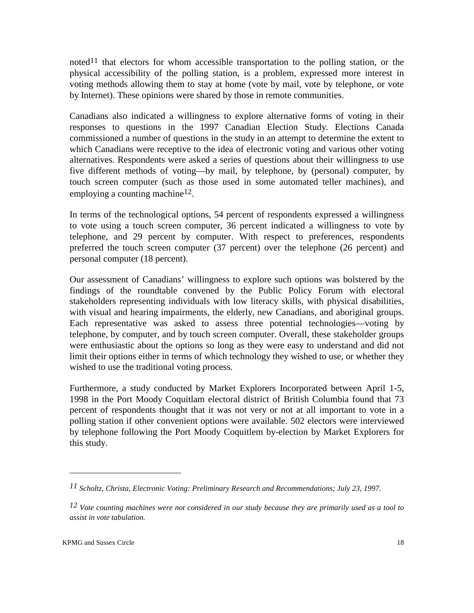noted<sup>11</sup> that electors for whom accessible transportation to the polling station, or the physical accessibility of the polling station, is a problem, expressed more interest in voting methods allowing them to stay at home (vote by mail, vote by telephone, or vote by Internet). These opinions were shared by those in remote communities.

Canadians also indicated a willingness to explore alternative forms of voting in their responses to questions in the 1997 Canadian Election Study. Elections Canada commissioned a number of questions in the study in an attempt to determine the extent to which Canadians were receptive to the idea of electronic voting and various other voting alternatives. Respondents were asked a series of questions about their willingness to use five different methods of voting—by mail, by telephone, by (personal) computer, by touch screen computer (such as those used in some automated teller machines), and employing a counting machine<sup>12</sup>.

In terms of the technological options, 54 percent of respondents expressed a willingness to vote using a touch screen computer, 36 percent indicated a willingness to vote by telephone, and 29 percent by computer. With respect to preferences, respondents preferred the touch screen computer (37 percent) over the telephone (26 percent) and personal computer (18 percent).

Our assessment of Canadians' willingness to explore such options was bolstered by the findings of the roundtable convened by the Public Policy Forum with electoral stakeholders representing individuals with low literacy skills, with physical disabilities, with visual and hearing impairments, the elderly, new Canadians, and aboriginal groups. Each representative was asked to assess three potential technologies—voting by telephone, by computer, and by touch screen computer. Overall, these stakeholder groups were enthusiastic about the options so long as they were easy to understand and did not limit their options either in terms of which technology they wished to use, or whether they wished to use the traditional voting process.

Furthermore, a study conducted by Market Explorers Incorporated between April 1-5, 1998 in the Port Moody Coquitlam electoral district of British Columbia found that 73 percent of respondents thought that it was not very or not at all important to vote in a polling station if other convenient options were available. 502 electors were interviewed by telephone following the Port Moody Coquitlem by-election by Market Explorers for this study.

*<sup>11</sup> Scholtz, Christa, Electronic Voting: Preliminary Research and Recommendations; July 23, 1997.* 

*<sup>12</sup> Vote counting machines were not considered in our study because they are primarily used as a tool to assist in vote tabulation.*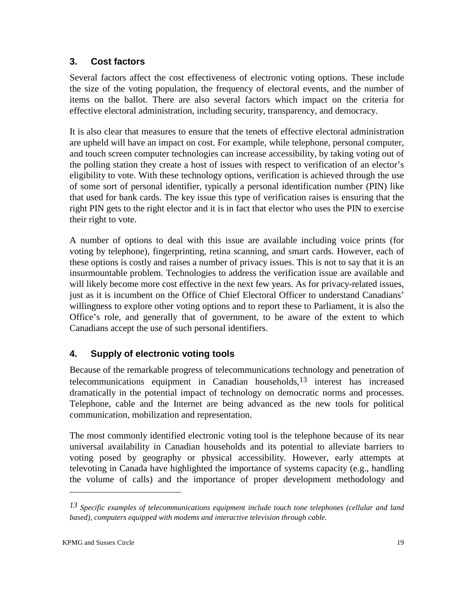### **3. Cost factors**

Several factors affect the cost effectiveness of electronic voting options. These include the size of the voting population, the frequency of electoral events, and the number of items on the ballot. There are also several factors which impact on the criteria for effective electoral administration, including security, transparency, and democracy.

It is also clear that measures to ensure that the tenets of effective electoral administration are upheld will have an impact on cost. For example, while telephone, personal computer, and touch screen computer technologies can increase accessibility, by taking voting out of the polling station they create a host of issues with respect to verification of an elector's eligibility to vote. With these technology options, verification is achieved through the use of some sort of personal identifier, typically a personal identification number (PIN) like that used for bank cards. The key issue this type of verification raises is ensuring that the right PIN gets to the right elector and it is in fact that elector who uses the PIN to exercise their right to vote.

A number of options to deal with this issue are available including voice prints (for voting by telephone), fingerprinting, retina scanning, and smart cards. However, each of these options is costly and raises a number of privacy issues. This is not to say that it is an insurmountable problem. Technologies to address the verification issue are available and will likely become more cost effective in the next few years. As for privacy-related issues, just as it is incumbent on the Office of Chief Electoral Officer to understand Canadians' willingness to explore other voting options and to report these to Parliament, it is also the Office's role, and generally that of government, to be aware of the extent to which Canadians accept the use of such personal identifiers.

### **4. Supply of electronic voting tools**

Because of the remarkable progress of telecommunications technology and penetration of telecommunications equipment in Canadian households,  $13$  interest has increased dramatically in the potential impact of technology on democratic norms and processes. Telephone, cable and the Internet are being advanced as the new tools for political communication, mobilization and representation.

The most commonly identified electronic voting tool is the telephone because of its near universal availability in Canadian households and its potential to alleviate barriers to voting posed by geography or physical accessibility. However, early attempts at televoting in Canada have highlighted the importance of systems capacity (e.g., handling the volume of calls) and the importance of proper development methodology and

*<sup>13</sup> Specific examples of telecommunications equipment include touch tone telephones (cellular and land based), computers equipped with modems and interactive television through cable.*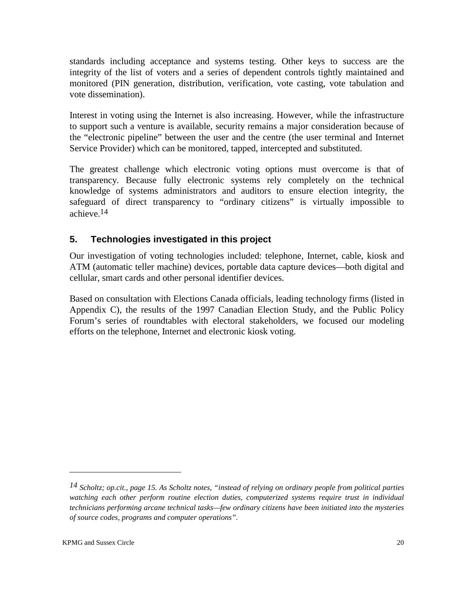standards including acceptance and systems testing. Other keys to success are the integrity of the list of voters and a series of dependent controls tightly maintained and monitored (PIN generation, distribution, verification, vote casting, vote tabulation and vote dissemination).

Interest in voting using the Internet is also increasing. However, while the infrastructure to support such a venture is available, security remains a major consideration because of the "electronic pipeline" between the user and the centre (the user terminal and Internet Service Provider) which can be monitored, tapped, intercepted and substituted.

The greatest challenge which electronic voting options must overcome is that of transparency. Because fully electronic systems rely completely on the technical knowledge of systems administrators and auditors to ensure election integrity, the safeguard of direct transparency to "ordinary citizens" is virtually impossible to achieve.14

### **5. Technologies investigated in this project**

Our investigation of voting technologies included: telephone, Internet, cable, kiosk and ATM (automatic teller machine) devices, portable data capture devices—both digital and cellular, smart cards and other personal identifier devices.

Based on consultation with Elections Canada officials, leading technology firms (listed in Appendix C), the results of the 1997 Canadian Election Study, and the Public Policy Forum's series of roundtables with electoral stakeholders, we focused our modeling efforts on the telephone, Internet and electronic kiosk voting.

*<sup>14</sup> Scholtz; op.cit., page 15. As Scholtz notes, "instead of relying on ordinary people from political parties watching each other perform routine election duties, computerized systems require trust in individual technicians performing arcane technical tasks—few ordinary citizens have been initiated into the mysteries of source codes, programs and computer operations".*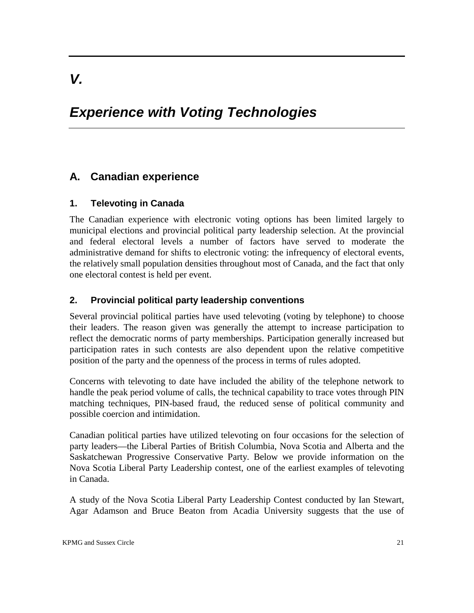# *Experience with Voting Technologies*

## **A. Canadian experience**

#### **1. Televoting in Canada**

The Canadian experience with electronic voting options has been limited largely to municipal elections and provincial political party leadership selection. At the provincial and federal electoral levels a number of factors have served to moderate the administrative demand for shifts to electronic voting: the infrequency of electoral events, the relatively small population densities throughout most of Canada, and the fact that only one electoral contest is held per event.

#### **2. Provincial political party leadership conventions**

Several provincial political parties have used televoting (voting by telephone) to choose their leaders. The reason given was generally the attempt to increase participation to reflect the democratic norms of party memberships. Participation generally increased but participation rates in such contests are also dependent upon the relative competitive position of the party and the openness of the process in terms of rules adopted.

Concerns with televoting to date have included the ability of the telephone network to handle the peak period volume of calls, the technical capability to trace votes through PIN matching techniques, PIN-based fraud, the reduced sense of political community and possible coercion and intimidation.

Canadian political parties have utilized televoting on four occasions for the selection of party leaders—the Liberal Parties of British Columbia, Nova Scotia and Alberta and the Saskatchewan Progressive Conservative Party. Below we provide information on the Nova Scotia Liberal Party Leadership contest, one of the earliest examples of televoting in Canada.

A study of the Nova Scotia Liberal Party Leadership Contest conducted by Ian Stewart, Agar Adamson and Bruce Beaton from Acadia University suggests that the use of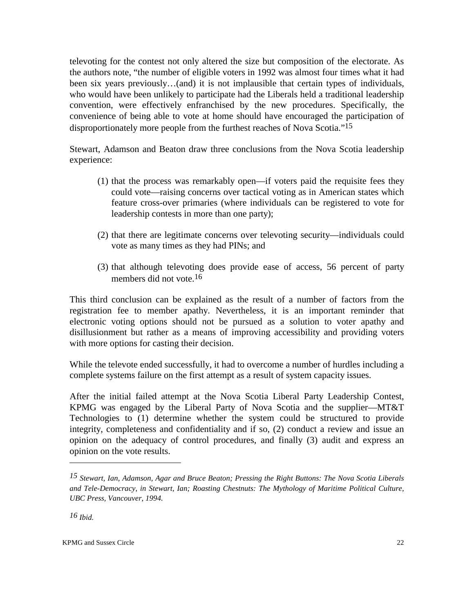televoting for the contest not only altered the size but composition of the electorate. As the authors note, "the number of eligible voters in 1992 was almost four times what it had been six years previously…(and) it is not implausible that certain types of individuals, who would have been unlikely to participate had the Liberals held a traditional leadership convention, were effectively enfranchised by the new procedures. Specifically, the convenience of being able to vote at home should have encouraged the participation of disproportionately more people from the furthest reaches of Nova Scotia."15

Stewart, Adamson and Beaton draw three conclusions from the Nova Scotia leadership experience:

- (1) that the process was remarkably open—if voters paid the requisite fees they could vote—raising concerns over tactical voting as in American states which feature cross-over primaries (where individuals can be registered to vote for leadership contests in more than one party);
- (2) that there are legitimate concerns over televoting security—individuals could vote as many times as they had PINs; and
- (3) that although televoting does provide ease of access, 56 percent of party members did not vote.16

This third conclusion can be explained as the result of a number of factors from the registration fee to member apathy. Nevertheless, it is an important reminder that electronic voting options should not be pursued as a solution to voter apathy and disillusionment but rather as a means of improving accessibility and providing voters with more options for casting their decision.

While the televote ended successfully, it had to overcome a number of hurdles including a complete systems failure on the first attempt as a result of system capacity issues.

After the initial failed attempt at the Nova Scotia Liberal Party Leadership Contest, KPMG was engaged by the Liberal Party of Nova Scotia and the supplier—MT&T Technologies to (1) determine whether the system could be structured to provide integrity, completeness and confidentiality and if so, (2) conduct a review and issue an opinion on the adequacy of control procedures, and finally (3) audit and express an opinion on the vote results.

*<sup>15</sup> Stewart, Ian, Adamson, Agar and Bruce Beaton; Pressing the Right Buttons: The Nova Scotia Liberals and Tele-Democracy, in Stewart, Ian; Roasting Chestnuts: The Mythology of Maritime Political Culture, UBC Press, Vancouver, 1994.* 

*<sup>16</sup> Ibid.*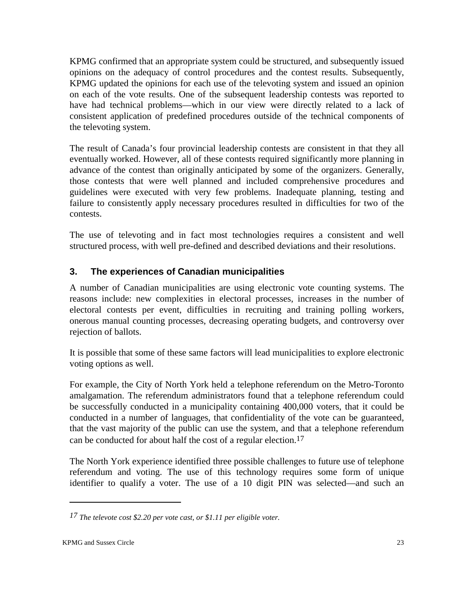KPMG confirmed that an appropriate system could be structured, and subsequently issued opinions on the adequacy of control procedures and the contest results. Subsequently, KPMG updated the opinions for each use of the televoting system and issued an opinion on each of the vote results. One of the subsequent leadership contests was reported to have had technical problems—which in our view were directly related to a lack of consistent application of predefined procedures outside of the technical components of the televoting system.

The result of Canada's four provincial leadership contests are consistent in that they all eventually worked. However, all of these contests required significantly more planning in advance of the contest than originally anticipated by some of the organizers. Generally, those contests that were well planned and included comprehensive procedures and guidelines were executed with very few problems. Inadequate planning, testing and failure to consistently apply necessary procedures resulted in difficulties for two of the contests.

The use of televoting and in fact most technologies requires a consistent and well structured process, with well pre-defined and described deviations and their resolutions.

### **3. The experiences of Canadian municipalities**

A number of Canadian municipalities are using electronic vote counting systems. The reasons include: new complexities in electoral processes, increases in the number of electoral contests per event, difficulties in recruiting and training polling workers, onerous manual counting processes, decreasing operating budgets, and controversy over rejection of ballots.

It is possible that some of these same factors will lead municipalities to explore electronic voting options as well.

For example, the City of North York held a telephone referendum on the Metro-Toronto amalgamation. The referendum administrators found that a telephone referendum could be successfully conducted in a municipality containing 400,000 voters, that it could be conducted in a number of languages, that confidentiality of the vote can be guaranteed, that the vast majority of the public can use the system, and that a telephone referendum can be conducted for about half the cost of a regular election.17

The North York experience identified three possible challenges to future use of telephone referendum and voting. The use of this technology requires some form of unique identifier to qualify a voter. The use of a 10 digit PIN was selected—and such an

*<sup>17</sup> The televote cost \$2.20 per vote cast, or \$1.11 per eligible voter.*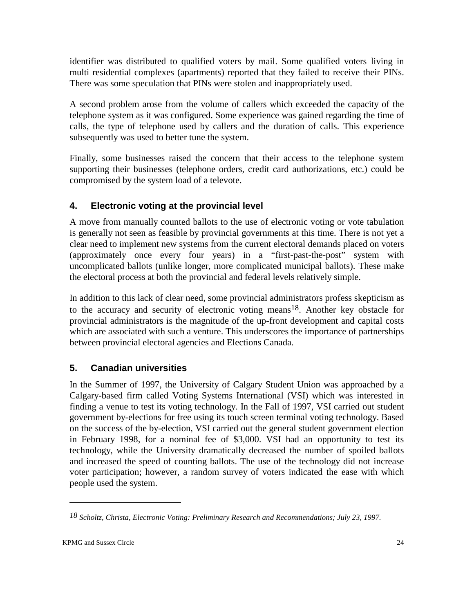identifier was distributed to qualified voters by mail. Some qualified voters living in multi residential complexes (apartments) reported that they failed to receive their PINs. There was some speculation that PINs were stolen and inappropriately used.

A second problem arose from the volume of callers which exceeded the capacity of the telephone system as it was configured. Some experience was gained regarding the time of calls, the type of telephone used by callers and the duration of calls. This experience subsequently was used to better tune the system.

Finally, some businesses raised the concern that their access to the telephone system supporting their businesses (telephone orders, credit card authorizations, etc.) could be compromised by the system load of a televote.

### **4. Electronic voting at the provincial level**

A move from manually counted ballots to the use of electronic voting or vote tabulation is generally not seen as feasible by provincial governments at this time. There is not yet a clear need to implement new systems from the current electoral demands placed on voters (approximately once every four years) in a "first-past-the-post" system with uncomplicated ballots (unlike longer, more complicated municipal ballots). These make the electoral process at both the provincial and federal levels relatively simple.

In addition to this lack of clear need, some provincial administrators profess skepticism as to the accuracy and security of electronic voting means18. Another key obstacle for provincial administrators is the magnitude of the up-front development and capital costs which are associated with such a venture. This underscores the importance of partnerships between provincial electoral agencies and Elections Canada.

### **5. Canadian universities**

In the Summer of 1997, the University of Calgary Student Union was approached by a Calgary-based firm called Voting Systems International (VSI) which was interested in finding a venue to test its voting technology. In the Fall of 1997, VSI carried out student government by-elections for free using its touch screen terminal voting technology. Based on the success of the by-election, VSI carried out the general student government election in February 1998, for a nominal fee of \$3,000. VSI had an opportunity to test its technology, while the University dramatically decreased the number of spoiled ballots and increased the speed of counting ballots. The use of the technology did not increase voter participation; however, a random survey of voters indicated the ease with which people used the system.

*<sup>18</sup> Scholtz, Christa, Electronic Voting: Preliminary Research and Recommendations; July 23, 1997.*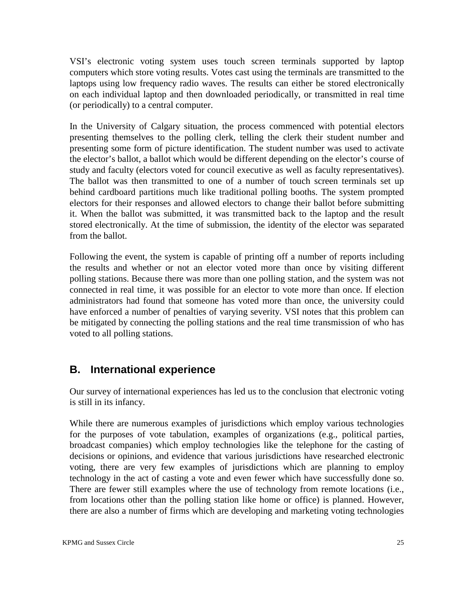VSI's electronic voting system uses touch screen terminals supported by laptop computers which store voting results. Votes cast using the terminals are transmitted to the laptops using low frequency radio waves. The results can either be stored electronically on each individual laptop and then downloaded periodically, or transmitted in real time (or periodically) to a central computer.

In the University of Calgary situation, the process commenced with potential electors presenting themselves to the polling clerk, telling the clerk their student number and presenting some form of picture identification. The student number was used to activate the elector's ballot, a ballot which would be different depending on the elector's course of study and faculty (electors voted for council executive as well as faculty representatives). The ballot was then transmitted to one of a number of touch screen terminals set up behind cardboard partitions much like traditional polling booths. The system prompted electors for their responses and allowed electors to change their ballot before submitting it. When the ballot was submitted, it was transmitted back to the laptop and the result stored electronically. At the time of submission, the identity of the elector was separated from the ballot.

Following the event, the system is capable of printing off a number of reports including the results and whether or not an elector voted more than once by visiting different polling stations. Because there was more than one polling station, and the system was not connected in real time, it was possible for an elector to vote more than once. If election administrators had found that someone has voted more than once, the university could have enforced a number of penalties of varying severity. VSI notes that this problem can be mitigated by connecting the polling stations and the real time transmission of who has voted to all polling stations.

## **B. International experience**

Our survey of international experiences has led us to the conclusion that electronic voting is still in its infancy.

While there are numerous examples of jurisdictions which employ various technologies for the purposes of vote tabulation, examples of organizations (e.g., political parties, broadcast companies) which employ technologies like the telephone for the casting of decisions or opinions, and evidence that various jurisdictions have researched electronic voting, there are very few examples of jurisdictions which are planning to employ technology in the act of casting a vote and even fewer which have successfully done so. There are fewer still examples where the use of technology from remote locations (i.e., from locations other than the polling station like home or office) is planned. However, there are also a number of firms which are developing and marketing voting technologies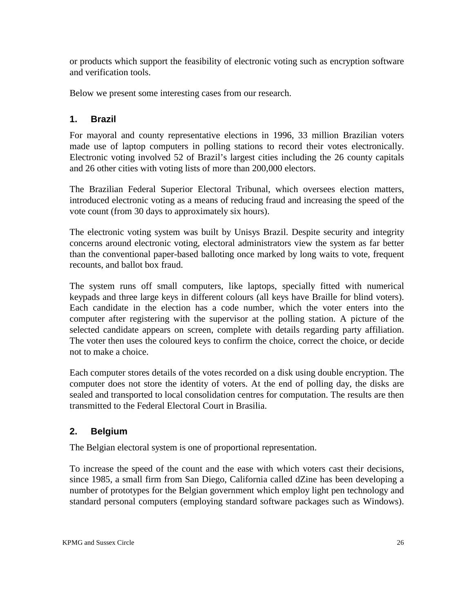or products which support the feasibility of electronic voting such as encryption software and verification tools.

Below we present some interesting cases from our research.

### **1. Brazil**

For mayoral and county representative elections in 1996, 33 million Brazilian voters made use of laptop computers in polling stations to record their votes electronically. Electronic voting involved 52 of Brazil's largest cities including the 26 county capitals and 26 other cities with voting lists of more than 200,000 electors.

The Brazilian Federal Superior Electoral Tribunal, which oversees election matters, introduced electronic voting as a means of reducing fraud and increasing the speed of the vote count (from 30 days to approximately six hours).

The electronic voting system was built by Unisys Brazil. Despite security and integrity concerns around electronic voting, electoral administrators view the system as far better than the conventional paper-based balloting once marked by long waits to vote, frequent recounts, and ballot box fraud.

The system runs off small computers, like laptops, specially fitted with numerical keypads and three large keys in different colours (all keys have Braille for blind voters). Each candidate in the election has a code number, which the voter enters into the computer after registering with the supervisor at the polling station. A picture of the selected candidate appears on screen, complete with details regarding party affiliation. The voter then uses the coloured keys to confirm the choice, correct the choice, or decide not to make a choice.

Each computer stores details of the votes recorded on a disk using double encryption. The computer does not store the identity of voters. At the end of polling day, the disks are sealed and transported to local consolidation centres for computation. The results are then transmitted to the Federal Electoral Court in Brasilia.

### **2. Belgium**

The Belgian electoral system is one of proportional representation.

To increase the speed of the count and the ease with which voters cast their decisions, since 1985, a small firm from San Diego, California called dZine has been developing a number of prototypes for the Belgian government which employ light pen technology and standard personal computers (employing standard software packages such as Windows).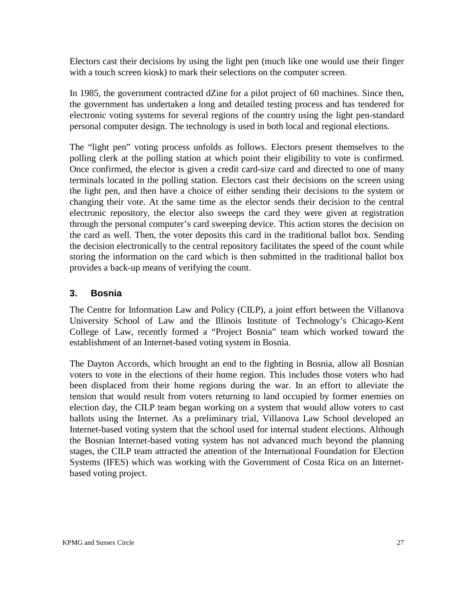Electors cast their decisions by using the light pen (much like one would use their finger with a touch screen kiosk) to mark their selections on the computer screen.

In 1985, the government contracted dZine for a pilot project of 60 machines. Since then, the government has undertaken a long and detailed testing process and has tendered for electronic voting systems for several regions of the country using the light pen-standard personal computer design. The technology is used in both local and regional elections.

The "light pen" voting process unfolds as follows. Electors present themselves to the polling clerk at the polling station at which point their eligibility to vote is confirmed. Once confirmed, the elector is given a credit card-size card and directed to one of many terminals located in the polling station. Electors cast their decisions on the screen using the light pen, and then have a choice of either sending their decisions to the system or changing their vote. At the same time as the elector sends their decision to the central electronic repository, the elector also sweeps the card they were given at registration through the personal computer's card sweeping device. This action stores the decision on the card as well. Then, the voter deposits this card in the traditional ballot box. Sending the decision electronically to the central repository facilitates the speed of the count while storing the information on the card which is then submitted in the traditional ballot box provides a back-up means of verifying the count.

#### **3. Bosnia**

The Centre for Information Law and Policy (CILP), a joint effort between the Villanova University School of Law and the Illinois Institute of Technology's Chicago-Kent College of Law, recently formed a "Project Bosnia" team which worked toward the establishment of an Internet-based voting system in Bosnia.

The Dayton Accords, which brought an end to the fighting in Bosnia, allow all Bosnian voters to vote in the elections of their home region. This includes those voters who had been displaced from their home regions during the war. In an effort to alleviate the tension that would result from voters returning to land occupied by former enemies on election day, the CILP team began working on a system that would allow voters to cast ballots using the Internet. As a preliminary trial, Villanova Law School developed an Internet-based voting system that the school used for internal student elections. Although the Bosnian Internet-based voting system has not advanced much beyond the planning stages, the CILP team attracted the attention of the International Foundation for Election Systems (IFES) which was working with the Government of Costa Rica on an Internetbased voting project.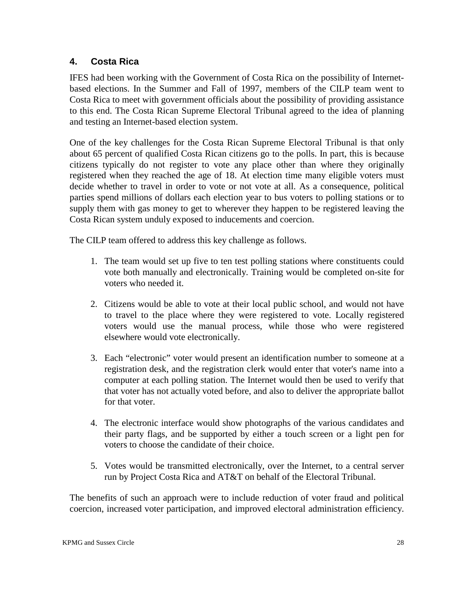#### **4. Costa Rica**

IFES had been working with the Government of Costa Rica on the possibility of Internetbased elections. In the Summer and Fall of 1997, members of the CILP team went to Costa Rica to meet with government officials about the possibility of providing assistance to this end. The Costa Rican Supreme Electoral Tribunal agreed to the idea of planning and testing an Internet-based election system.

One of the key challenges for the Costa Rican Supreme Electoral Tribunal is that only about 65 percent of qualified Costa Rican citizens go to the polls. In part, this is because citizens typically do not register to vote any place other than where they originally registered when they reached the age of 18. At election time many eligible voters must decide whether to travel in order to vote or not vote at all. As a consequence, political parties spend millions of dollars each election year to bus voters to polling stations or to supply them with gas money to get to wherever they happen to be registered leaving the Costa Rican system unduly exposed to inducements and coercion.

The CILP team offered to address this key challenge as follows.

- 1. The team would set up five to ten test polling stations where constituents could vote both manually and electronically. Training would be completed on-site for voters who needed it.
- 2. Citizens would be able to vote at their local public school, and would not have to travel to the place where they were registered to vote. Locally registered voters would use the manual process, while those who were registered elsewhere would vote electronically.
- 3. Each "electronic" voter would present an identification number to someone at a registration desk, and the registration clerk would enter that voter's name into a computer at each polling station. The Internet would then be used to verify that that voter has not actually voted before, and also to deliver the appropriate ballot for that voter.
- 4. The electronic interface would show photographs of the various candidates and their party flags, and be supported by either a touch screen or a light pen for voters to choose the candidate of their choice.
- 5. Votes would be transmitted electronically, over the Internet, to a central server run by Project Costa Rica and AT&T on behalf of the Electoral Tribunal.

The benefits of such an approach were to include reduction of voter fraud and political coercion, increased voter participation, and improved electoral administration efficiency.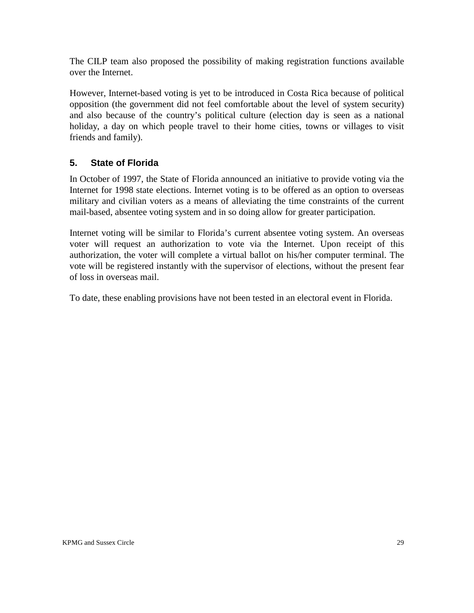The CILP team also proposed the possibility of making registration functions available over the Internet.

However, Internet-based voting is yet to be introduced in Costa Rica because of political opposition (the government did not feel comfortable about the level of system security) and also because of the country's political culture (election day is seen as a national holiday, a day on which people travel to their home cities, towns or villages to visit friends and family).

#### **5. State of Florida**

In October of 1997, the State of Florida announced an initiative to provide voting via the Internet for 1998 state elections. Internet voting is to be offered as an option to overseas military and civilian voters as a means of alleviating the time constraints of the current mail-based, absentee voting system and in so doing allow for greater participation.

Internet voting will be similar to Florida's current absentee voting system. An overseas voter will request an authorization to vote via the Internet. Upon receipt of this authorization, the voter will complete a virtual ballot on his/her computer terminal. The vote will be registered instantly with the supervisor of elections, without the present fear of loss in overseas mail.

To date, these enabling provisions have not been tested in an electoral event in Florida.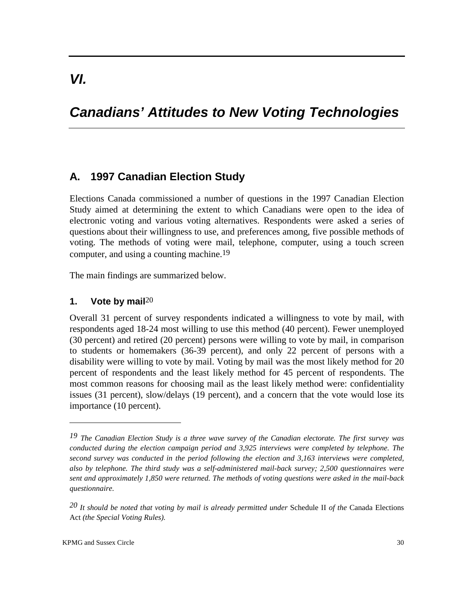# *Canadians' Attitudes to New Voting Technologies*

### **A. 1997 Canadian Election Study**

Elections Canada commissioned a number of questions in the 1997 Canadian Election Study aimed at determining the extent to which Canadians were open to the idea of electronic voting and various voting alternatives. Respondents were asked a series of questions about their willingness to use, and preferences among, five possible methods of voting. The methods of voting were mail, telephone, computer, using a touch screen computer, and using a counting machine.19

The main findings are summarized below.

#### **1. Vote by mail**20

Overall 31 percent of survey respondents indicated a willingness to vote by mail, with respondents aged 18-24 most willing to use this method (40 percent). Fewer unemployed (30 percent) and retired (20 percent) persons were willing to vote by mail, in comparison to students or homemakers (36-39 percent), and only 22 percent of persons with a disability were willing to vote by mail. Voting by mail was the most likely method for 20 percent of respondents and the least likely method for 45 percent of respondents. The most common reasons for choosing mail as the least likely method were: confidentiality issues (31 percent), slow/delays (19 percent), and a concern that the vote would lose its importance (10 percent).

*<sup>19</sup> The Canadian Election Study is a three wave survey of the Canadian electorate. The first survey was conducted during the election campaign period and 3,925 interviews were completed by telephone. The second survey was conducted in the period following the election and 3,163 interviews were completed, also by telephone. The third study was a self-administered mail-back survey; 2,500 questionnaires were sent and approximately 1,850 were returned. The methods of voting questions were asked in the mail-back questionnaire.* 

*<sup>20</sup> It should be noted that voting by mail is already permitted under* Schedule II *of the* Canada Elections Act *(the Special Voting Rules).*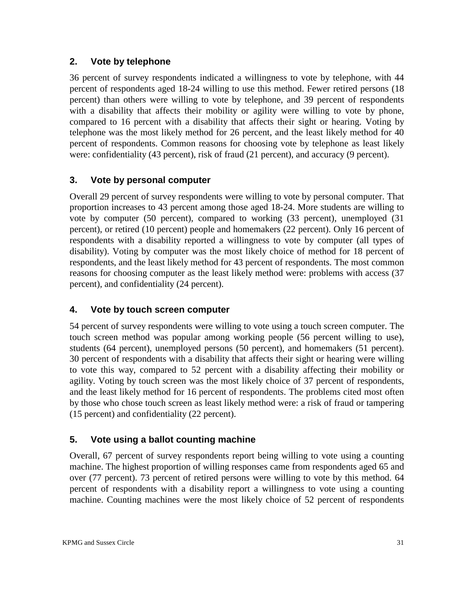#### **2. Vote by telephone**

36 percent of survey respondents indicated a willingness to vote by telephone, with 44 percent of respondents aged 18-24 willing to use this method. Fewer retired persons (18 percent) than others were willing to vote by telephone, and 39 percent of respondents with a disability that affects their mobility or agility were willing to vote by phone, compared to 16 percent with a disability that affects their sight or hearing. Voting by telephone was the most likely method for 26 percent, and the least likely method for 40 percent of respondents. Common reasons for choosing vote by telephone as least likely were: confidentiality (43 percent), risk of fraud (21 percent), and accuracy (9 percent).

#### **3. Vote by personal computer**

Overall 29 percent of survey respondents were willing to vote by personal computer. That proportion increases to 43 percent among those aged 18-24. More students are willing to vote by computer (50 percent), compared to working (33 percent), unemployed (31 percent), or retired (10 percent) people and homemakers (22 percent). Only 16 percent of respondents with a disability reported a willingness to vote by computer (all types of disability). Voting by computer was the most likely choice of method for 18 percent of respondents, and the least likely method for 43 percent of respondents. The most common reasons for choosing computer as the least likely method were: problems with access (37 percent), and confidentiality (24 percent).

#### **4. Vote by touch screen computer**

54 percent of survey respondents were willing to vote using a touch screen computer. The touch screen method was popular among working people (56 percent willing to use), students (64 percent), unemployed persons (50 percent), and homemakers (51 percent). 30 percent of respondents with a disability that affects their sight or hearing were willing to vote this way, compared to 52 percent with a disability affecting their mobility or agility. Voting by touch screen was the most likely choice of 37 percent of respondents, and the least likely method for 16 percent of respondents. The problems cited most often by those who chose touch screen as least likely method were: a risk of fraud or tampering (15 percent) and confidentiality (22 percent).

#### **5. Vote using a ballot counting machine**

Overall, 67 percent of survey respondents report being willing to vote using a counting machine. The highest proportion of willing responses came from respondents aged 65 and over (77 percent). 73 percent of retired persons were willing to vote by this method. 64 percent of respondents with a disability report a willingness to vote using a counting machine. Counting machines were the most likely choice of 52 percent of respondents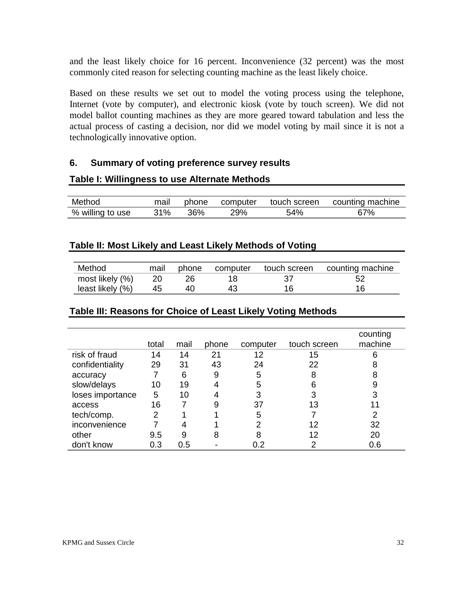and the least likely choice for 16 percent. Inconvenience (32 percent) was the most commonly cited reason for selecting counting machine as the least likely choice.

Based on these results we set out to model the voting process using the telephone, Internet (vote by computer), and electronic kiosk (vote by touch screen). We did not model ballot counting machines as they are more geared toward tabulation and less the actual process of casting a decision, nor did we model voting by mail since it is not a technologically innovative option.

#### **6. Summary of voting preference survey results**

#### **Table I: Willingness to use Alternate Methods**

| Method           | mail | phone | computer |     | touch screen counting machine |
|------------------|------|-------|----------|-----|-------------------------------|
| % willing to use | 31%  | 36%   | 29%      | 54% | 67%                           |

#### **Table II: Most Likely and Least Likely Methods of Voting**

| Method           |    | mail phone computer |    | touch screen counting machine |
|------------------|----|---------------------|----|-------------------------------|
| most likely (%)  | 20 |                     |    |                               |
| least likely (%) | 45 |                     | 16 | 16                            |

#### **Table III: Reasons for Choice of Least Likely Voting Methods**

|                  | total | mail | phone | computer | touch screen | counting<br>machine |
|------------------|-------|------|-------|----------|--------------|---------------------|
| risk of fraud    | 14    | 14   | 21    | 12       | 15           | 6                   |
| confidentiality  | 29    | 31   | 43    | 24       | 22           | 8                   |
| accuracy         |       | 6    | 9     | 5        | 8            | 8                   |
| slow/delays      | 10    | 19   |       | 5        | 6            | 9                   |
| loses importance | 5     | 10   |       | 3        | 3            | 3                   |
| access           | 16    |      | 9     | 37       | 13           |                     |
| tech/comp.       | 2     |      |       | 5        |              | 2                   |
| inconvenience    |       |      |       | 2        | 12           | 32                  |
| other            | 9.5   | 9    | 8     | 8        | 12           | 20                  |
| don't know       | 0.3   | 0.5  |       | 0.2      | 2            | 0.6                 |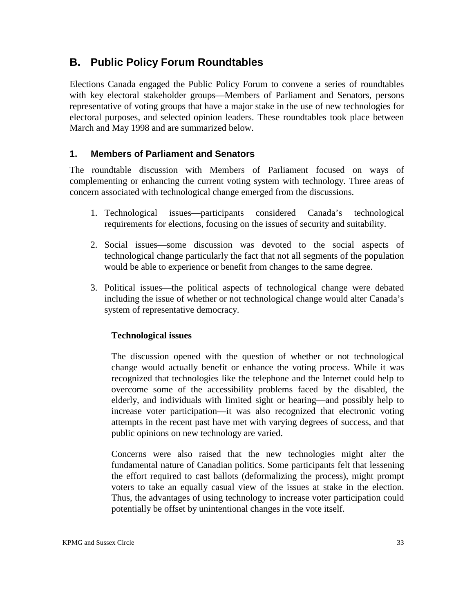## **B. Public Policy Forum Roundtables**

Elections Canada engaged the Public Policy Forum to convene a series of roundtables with key electoral stakeholder groups—Members of Parliament and Senators, persons representative of voting groups that have a major stake in the use of new technologies for electoral purposes, and selected opinion leaders. These roundtables took place between March and May 1998 and are summarized below.

#### **1. Members of Parliament and Senators**

The roundtable discussion with Members of Parliament focused on ways of complementing or enhancing the current voting system with technology. Three areas of concern associated with technological change emerged from the discussions.

- 1. Technological issues—participants considered Canada's technological requirements for elections, focusing on the issues of security and suitability.
- 2. Social issues—some discussion was devoted to the social aspects of technological change particularly the fact that not all segments of the population would be able to experience or benefit from changes to the same degree.
- 3. Political issues—the political aspects of technological change were debated including the issue of whether or not technological change would alter Canada's system of representative democracy.

#### **Technological issues**

The discussion opened with the question of whether or not technological change would actually benefit or enhance the voting process. While it was recognized that technologies like the telephone and the Internet could help to overcome some of the accessibility problems faced by the disabled, the elderly, and individuals with limited sight or hearing—and possibly help to increase voter participation—it was also recognized that electronic voting attempts in the recent past have met with varying degrees of success, and that public opinions on new technology are varied.

Concerns were also raised that the new technologies might alter the fundamental nature of Canadian politics. Some participants felt that lessening the effort required to cast ballots (deformalizing the process), might prompt voters to take an equally casual view of the issues at stake in the election. Thus, the advantages of using technology to increase voter participation could potentially be offset by unintentional changes in the vote itself.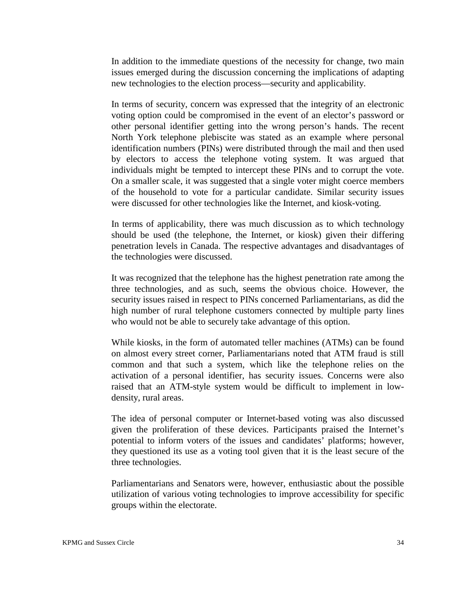In addition to the immediate questions of the necessity for change, two main issues emerged during the discussion concerning the implications of adapting new technologies to the election process—security and applicability.

In terms of security, concern was expressed that the integrity of an electronic voting option could be compromised in the event of an elector's password or other personal identifier getting into the wrong person's hands. The recent North York telephone plebiscite was stated as an example where personal identification numbers (PINs) were distributed through the mail and then used by electors to access the telephone voting system. It was argued that individuals might be tempted to intercept these PINs and to corrupt the vote. On a smaller scale, it was suggested that a single voter might coerce members of the household to vote for a particular candidate. Similar security issues were discussed for other technologies like the Internet, and kiosk-voting.

In terms of applicability, there was much discussion as to which technology should be used (the telephone, the Internet, or kiosk) given their differing penetration levels in Canada. The respective advantages and disadvantages of the technologies were discussed.

It was recognized that the telephone has the highest penetration rate among the three technologies, and as such, seems the obvious choice. However, the security issues raised in respect to PINs concerned Parliamentarians, as did the high number of rural telephone customers connected by multiple party lines who would not be able to securely take advantage of this option.

While kiosks, in the form of automated teller machines (ATMs) can be found on almost every street corner, Parliamentarians noted that ATM fraud is still common and that such a system, which like the telephone relies on the activation of a personal identifier, has security issues. Concerns were also raised that an ATM-style system would be difficult to implement in lowdensity, rural areas.

The idea of personal computer or Internet-based voting was also discussed given the proliferation of these devices. Participants praised the Internet's potential to inform voters of the issues and candidates' platforms; however, they questioned its use as a voting tool given that it is the least secure of the three technologies.

Parliamentarians and Senators were, however, enthusiastic about the possible utilization of various voting technologies to improve accessibility for specific groups within the electorate.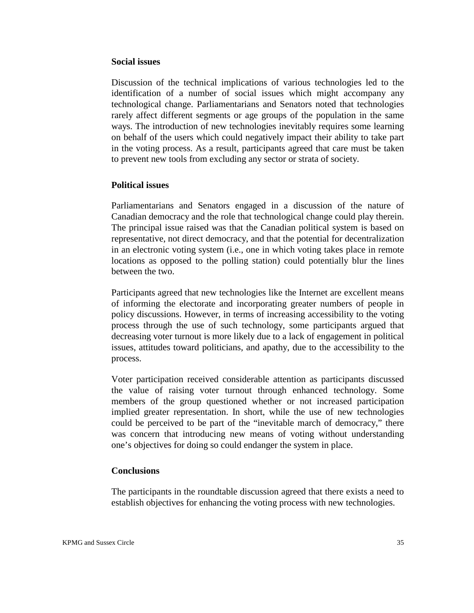#### **Social issues**

Discussion of the technical implications of various technologies led to the identification of a number of social issues which might accompany any technological change. Parliamentarians and Senators noted that technologies rarely affect different segments or age groups of the population in the same ways. The introduction of new technologies inevitably requires some learning on behalf of the users which could negatively impact their ability to take part in the voting process. As a result, participants agreed that care must be taken to prevent new tools from excluding any sector or strata of society.

#### **Political issues**

Parliamentarians and Senators engaged in a discussion of the nature of Canadian democracy and the role that technological change could play therein. The principal issue raised was that the Canadian political system is based on representative, not direct democracy, and that the potential for decentralization in an electronic voting system (i.e., one in which voting takes place in remote locations as opposed to the polling station) could potentially blur the lines between the two.

Participants agreed that new technologies like the Internet are excellent means of informing the electorate and incorporating greater numbers of people in policy discussions. However, in terms of increasing accessibility to the voting process through the use of such technology, some participants argued that decreasing voter turnout is more likely due to a lack of engagement in political issues, attitudes toward politicians, and apathy, due to the accessibility to the process.

Voter participation received considerable attention as participants discussed the value of raising voter turnout through enhanced technology. Some members of the group questioned whether or not increased participation implied greater representation. In short, while the use of new technologies could be perceived to be part of the "inevitable march of democracy," there was concern that introducing new means of voting without understanding one's objectives for doing so could endanger the system in place.

#### **Conclusions**

The participants in the roundtable discussion agreed that there exists a need to establish objectives for enhancing the voting process with new technologies.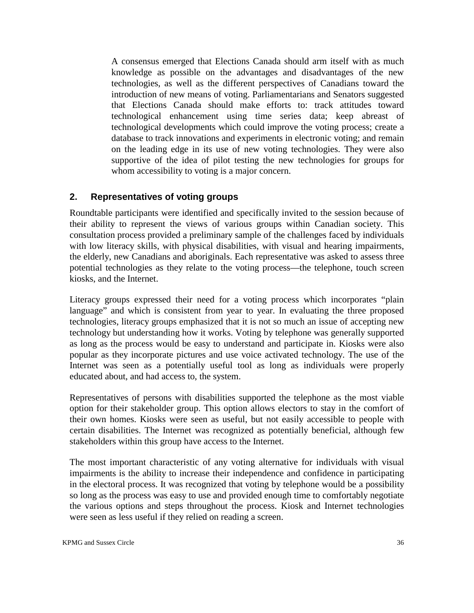A consensus emerged that Elections Canada should arm itself with as much knowledge as possible on the advantages and disadvantages of the new technologies, as well as the different perspectives of Canadians toward the introduction of new means of voting. Parliamentarians and Senators suggested that Elections Canada should make efforts to: track attitudes toward technological enhancement using time series data; keep abreast of technological developments which could improve the voting process; create a database to track innovations and experiments in electronic voting; and remain on the leading edge in its use of new voting technologies. They were also supportive of the idea of pilot testing the new technologies for groups for whom accessibility to voting is a major concern.

#### **2. Representatives of voting groups**

Roundtable participants were identified and specifically invited to the session because of their ability to represent the views of various groups within Canadian society. This consultation process provided a preliminary sample of the challenges faced by individuals with low literacy skills, with physical disabilities, with visual and hearing impairments, the elderly, new Canadians and aboriginals. Each representative was asked to assess three potential technologies as they relate to the voting process—the telephone, touch screen kiosks, and the Internet.

Literacy groups expressed their need for a voting process which incorporates "plain language" and which is consistent from year to year. In evaluating the three proposed technologies, literacy groups emphasized that it is not so much an issue of accepting new technology but understanding how it works. Voting by telephone was generally supported as long as the process would be easy to understand and participate in. Kiosks were also popular as they incorporate pictures and use voice activated technology. The use of the Internet was seen as a potentially useful tool as long as individuals were properly educated about, and had access to, the system.

Representatives of persons with disabilities supported the telephone as the most viable option for their stakeholder group. This option allows electors to stay in the comfort of their own homes. Kiosks were seen as useful, but not easily accessible to people with certain disabilities. The Internet was recognized as potentially beneficial, although few stakeholders within this group have access to the Internet.

The most important characteristic of any voting alternative for individuals with visual impairments is the ability to increase their independence and confidence in participating in the electoral process. It was recognized that voting by telephone would be a possibility so long as the process was easy to use and provided enough time to comfortably negotiate the various options and steps throughout the process. Kiosk and Internet technologies were seen as less useful if they relied on reading a screen.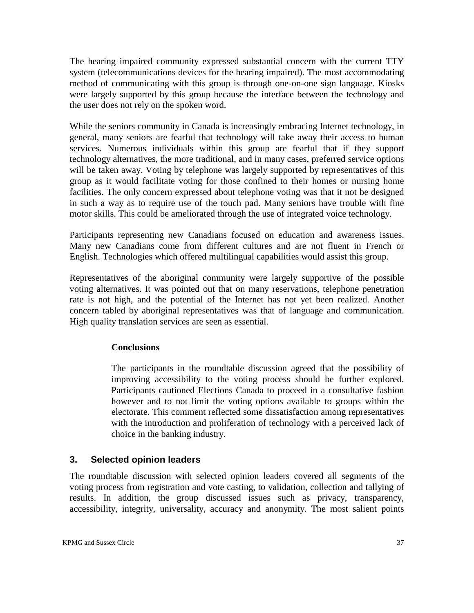The hearing impaired community expressed substantial concern with the current TTY system (telecommunications devices for the hearing impaired). The most accommodating method of communicating with this group is through one-on-one sign language. Kiosks were largely supported by this group because the interface between the technology and the user does not rely on the spoken word.

While the seniors community in Canada is increasingly embracing Internet technology, in general, many seniors are fearful that technology will take away their access to human services. Numerous individuals within this group are fearful that if they support technology alternatives, the more traditional, and in many cases, preferred service options will be taken away. Voting by telephone was largely supported by representatives of this group as it would facilitate voting for those confined to their homes or nursing home facilities. The only concern expressed about telephone voting was that it not be designed in such a way as to require use of the touch pad. Many seniors have trouble with fine motor skills. This could be ameliorated through the use of integrated voice technology.

Participants representing new Canadians focused on education and awareness issues. Many new Canadians come from different cultures and are not fluent in French or English. Technologies which offered multilingual capabilities would assist this group.

Representatives of the aboriginal community were largely supportive of the possible voting alternatives. It was pointed out that on many reservations, telephone penetration rate is not high, and the potential of the Internet has not yet been realized. Another concern tabled by aboriginal representatives was that of language and communication. High quality translation services are seen as essential.

#### **Conclusions**

The participants in the roundtable discussion agreed that the possibility of improving accessibility to the voting process should be further explored. Participants cautioned Elections Canada to proceed in a consultative fashion however and to not limit the voting options available to groups within the electorate. This comment reflected some dissatisfaction among representatives with the introduction and proliferation of technology with a perceived lack of choice in the banking industry.

#### **3. Selected opinion leaders**

The roundtable discussion with selected opinion leaders covered all segments of the voting process from registration and vote casting, to validation, collection and tallying of results. In addition, the group discussed issues such as privacy, transparency, accessibility, integrity, universality, accuracy and anonymity. The most salient points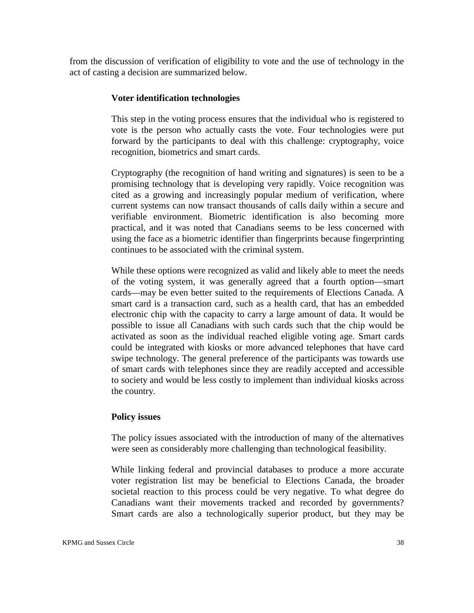from the discussion of verification of eligibility to vote and the use of technology in the act of casting a decision are summarized below.

#### **Voter identification technologies**

This step in the voting process ensures that the individual who is registered to vote is the person who actually casts the vote. Four technologies were put forward by the participants to deal with this challenge: cryptography, voice recognition, biometrics and smart cards.

Cryptography (the recognition of hand writing and signatures) is seen to be a promising technology that is developing very rapidly. Voice recognition was cited as a growing and increasingly popular medium of verification, where current systems can now transact thousands of calls daily within a secure and verifiable environment. Biometric identification is also becoming more practical, and it was noted that Canadians seems to be less concerned with using the face as a biometric identifier than fingerprints because fingerprinting continues to be associated with the criminal system.

While these options were recognized as valid and likely able to meet the needs of the voting system, it was generally agreed that a fourth option—smart cards—may be even better suited to the requirements of Elections Canada. A smart card is a transaction card, such as a health card, that has an embedded electronic chip with the capacity to carry a large amount of data. It would be possible to issue all Canadians with such cards such that the chip would be activated as soon as the individual reached eligible voting age. Smart cards could be integrated with kiosks or more advanced telephones that have card swipe technology. The general preference of the participants was towards use of smart cards with telephones since they are readily accepted and accessible to society and would be less costly to implement than individual kiosks across the country.

#### **Policy issues**

The policy issues associated with the introduction of many of the alternatives were seen as considerably more challenging than technological feasibility.

While linking federal and provincial databases to produce a more accurate voter registration list may be beneficial to Elections Canada, the broader societal reaction to this process could be very negative. To what degree do Canadians want their movements tracked and recorded by governments? Smart cards are also a technologically superior product, but they may be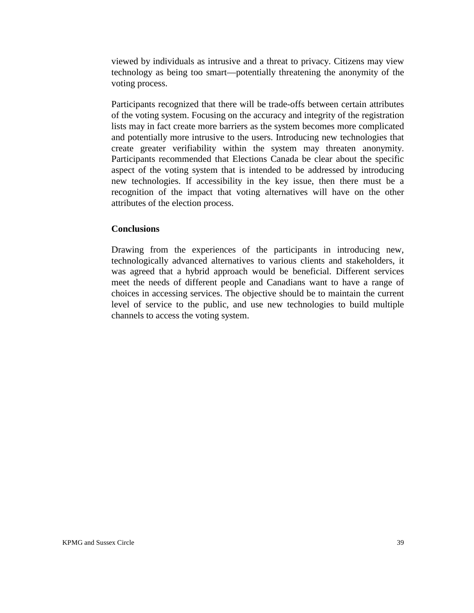viewed by individuals as intrusive and a threat to privacy. Citizens may view technology as being too smart—potentially threatening the anonymity of the voting process.

Participants recognized that there will be trade-offs between certain attributes of the voting system. Focusing on the accuracy and integrity of the registration lists may in fact create more barriers as the system becomes more complicated and potentially more intrusive to the users. Introducing new technologies that create greater verifiability within the system may threaten anonymity. Participants recommended that Elections Canada be clear about the specific aspect of the voting system that is intended to be addressed by introducing new technologies. If accessibility in the key issue, then there must be a recognition of the impact that voting alternatives will have on the other attributes of the election process.

#### **Conclusions**

Drawing from the experiences of the participants in introducing new, technologically advanced alternatives to various clients and stakeholders, it was agreed that a hybrid approach would be beneficial. Different services meet the needs of different people and Canadians want to have a range of choices in accessing services. The objective should be to maintain the current level of service to the public, and use new technologies to build multiple channels to access the voting system.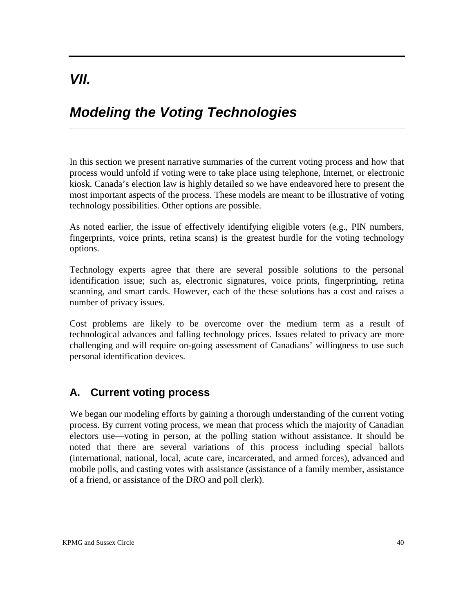# *Modeling the Voting Technologies*

In this section we present narrative summaries of the current voting process and how that process would unfold if voting were to take place using telephone, Internet, or electronic kiosk. Canada's election law is highly detailed so we have endeavored here to present the most important aspects of the process. These models are meant to be illustrative of voting technology possibilities. Other options are possible.

As noted earlier, the issue of effectively identifying eligible voters (e.g., PIN numbers, fingerprints, voice prints, retina scans) is the greatest hurdle for the voting technology options.

Technology experts agree that there are several possible solutions to the personal identification issue; such as, electronic signatures, voice prints, fingerprinting, retina scanning, and smart cards. However, each of the these solutions has a cost and raises a number of privacy issues.

Cost problems are likely to be overcome over the medium term as a result of technological advances and falling technology prices. Issues related to privacy are more challenging and will require on-going assessment of Canadians' willingness to use such personal identification devices.

# **A. Current voting process**

We began our modeling efforts by gaining a thorough understanding of the current voting process. By current voting process, we mean that process which the majority of Canadian electors use—voting in person, at the polling station without assistance. It should be noted that there are several variations of this process including special ballots (international, national, local, acute care, incarcerated, and armed forces), advanced and mobile polls, and casting votes with assistance (assistance of a family member, assistance of a friend, or assistance of the DRO and poll clerk).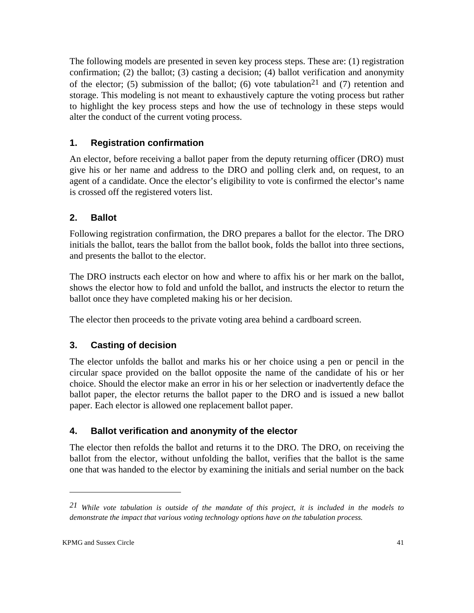The following models are presented in seven key process steps. These are: (1) registration confirmation; (2) the ballot; (3) casting a decision; (4) ballot verification and anonymity of the elector; (5) submission of the ballot; (6) vote tabulation<sup>21</sup> and (7) retention and storage. This modeling is not meant to exhaustively capture the voting process but rather to highlight the key process steps and how the use of technology in these steps would alter the conduct of the current voting process.

## **1. Registration confirmation**

An elector, before receiving a ballot paper from the deputy returning officer (DRO) must give his or her name and address to the DRO and polling clerk and, on request, to an agent of a candidate. Once the elector's eligibility to vote is confirmed the elector's name is crossed off the registered voters list.

## **2. Ballot**

Following registration confirmation, the DRO prepares a ballot for the elector. The DRO initials the ballot, tears the ballot from the ballot book, folds the ballot into three sections, and presents the ballot to the elector.

The DRO instructs each elector on how and where to affix his or her mark on the ballot, shows the elector how to fold and unfold the ballot, and instructs the elector to return the ballot once they have completed making his or her decision.

The elector then proceeds to the private voting area behind a cardboard screen.

## **3. Casting of decision**

The elector unfolds the ballot and marks his or her choice using a pen or pencil in the circular space provided on the ballot opposite the name of the candidate of his or her choice. Should the elector make an error in his or her selection or inadvertently deface the ballot paper, the elector returns the ballot paper to the DRO and is issued a new ballot paper. Each elector is allowed one replacement ballot paper.

## **4. Ballot verification and anonymity of the elector**

The elector then refolds the ballot and returns it to the DRO. The DRO, on receiving the ballot from the elector, without unfolding the ballot, verifies that the ballot is the same one that was handed to the elector by examining the initials and serial number on the back

*<sup>21</sup> While vote tabulation is outside of the mandate of this project, it is included in the models to demonstrate the impact that various voting technology options have on the tabulation process.*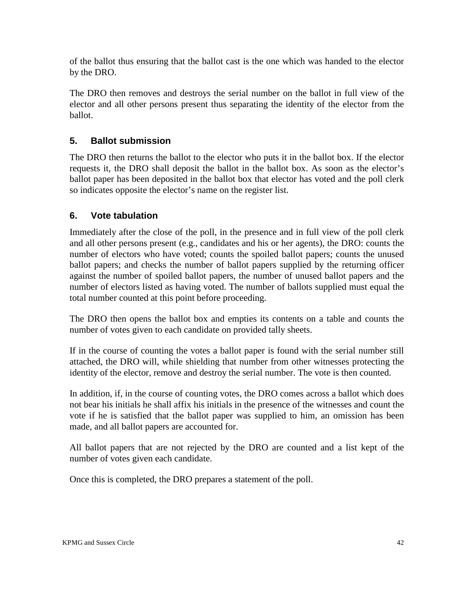of the ballot thus ensuring that the ballot cast is the one which was handed to the elector by the DRO.

The DRO then removes and destroys the serial number on the ballot in full view of the elector and all other persons present thus separating the identity of the elector from the ballot.

### **5. Ballot submission**

The DRO then returns the ballot to the elector who puts it in the ballot box. If the elector requests it, the DRO shall deposit the ballot in the ballot box. As soon as the elector's ballot paper has been deposited in the ballot box that elector has voted and the poll clerk so indicates opposite the elector's name on the register list.

## **6. Vote tabulation**

Immediately after the close of the poll, in the presence and in full view of the poll clerk and all other persons present (e.g., candidates and his or her agents), the DRO: counts the number of electors who have voted; counts the spoiled ballot papers; counts the unused ballot papers; and checks the number of ballot papers supplied by the returning officer against the number of spoiled ballot papers, the number of unused ballot papers and the number of electors listed as having voted. The number of ballots supplied must equal the total number counted at this point before proceeding.

The DRO then opens the ballot box and empties its contents on a table and counts the number of votes given to each candidate on provided tally sheets.

If in the course of counting the votes a ballot paper is found with the serial number still attached, the DRO will, while shielding that number from other witnesses protecting the identity of the elector, remove and destroy the serial number. The vote is then counted.

In addition, if, in the course of counting votes, the DRO comes across a ballot which does not bear his initials he shall affix his initials in the presence of the witnesses and count the vote if he is satisfied that the ballot paper was supplied to him, an omission has been made, and all ballot papers are accounted for.

All ballot papers that are not rejected by the DRO are counted and a list kept of the number of votes given each candidate.

Once this is completed, the DRO prepares a statement of the poll.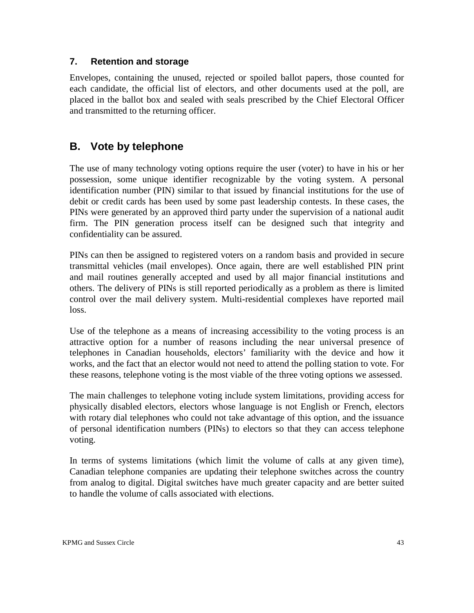#### **7. Retention and storage**

Envelopes, containing the unused, rejected or spoiled ballot papers, those counted for each candidate, the official list of electors, and other documents used at the poll, are placed in the ballot box and sealed with seals prescribed by the Chief Electoral Officer and transmitted to the returning officer.

## **B. Vote by telephone**

The use of many technology voting options require the user (voter) to have in his or her possession, some unique identifier recognizable by the voting system. A personal identification number (PIN) similar to that issued by financial institutions for the use of debit or credit cards has been used by some past leadership contests. In these cases, the PINs were generated by an approved third party under the supervision of a national audit firm. The PIN generation process itself can be designed such that integrity and confidentiality can be assured.

PINs can then be assigned to registered voters on a random basis and provided in secure transmittal vehicles (mail envelopes). Once again, there are well established PIN print and mail routines generally accepted and used by all major financial institutions and others. The delivery of PINs is still reported periodically as a problem as there is limited control over the mail delivery system. Multi-residential complexes have reported mail loss.

Use of the telephone as a means of increasing accessibility to the voting process is an attractive option for a number of reasons including the near universal presence of telephones in Canadian households, electors' familiarity with the device and how it works, and the fact that an elector would not need to attend the polling station to vote. For these reasons, telephone voting is the most viable of the three voting options we assessed.

The main challenges to telephone voting include system limitations, providing access for physically disabled electors, electors whose language is not English or French, electors with rotary dial telephones who could not take advantage of this option, and the issuance of personal identification numbers (PINs) to electors so that they can access telephone voting.

In terms of systems limitations (which limit the volume of calls at any given time), Canadian telephone companies are updating their telephone switches across the country from analog to digital. Digital switches have much greater capacity and are better suited to handle the volume of calls associated with elections.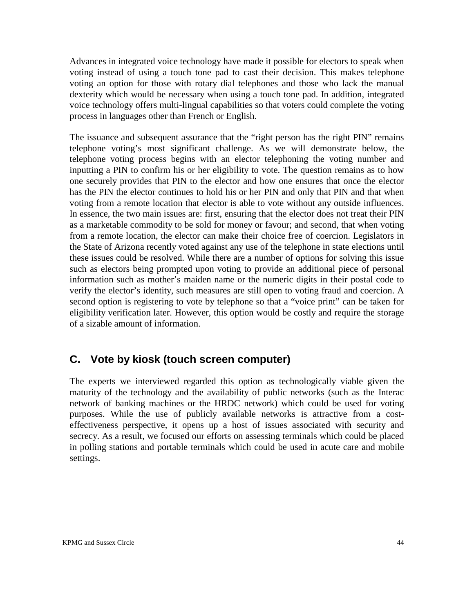Advances in integrated voice technology have made it possible for electors to speak when voting instead of using a touch tone pad to cast their decision. This makes telephone voting an option for those with rotary dial telephones and those who lack the manual dexterity which would be necessary when using a touch tone pad. In addition, integrated voice technology offers multi-lingual capabilities so that voters could complete the voting process in languages other than French or English.

The issuance and subsequent assurance that the "right person has the right PIN" remains telephone voting's most significant challenge. As we will demonstrate below, the telephone voting process begins with an elector telephoning the voting number and inputting a PIN to confirm his or her eligibility to vote. The question remains as to how one securely provides that PIN to the elector and how one ensures that once the elector has the PIN the elector continues to hold his or her PIN and only that PIN and that when voting from a remote location that elector is able to vote without any outside influences. In essence, the two main issues are: first, ensuring that the elector does not treat their PIN as a marketable commodity to be sold for money or favour; and second, that when voting from a remote location, the elector can make their choice free of coercion. Legislators in the State of Arizona recently voted against any use of the telephone in state elections until these issues could be resolved. While there are a number of options for solving this issue such as electors being prompted upon voting to provide an additional piece of personal information such as mother's maiden name or the numeric digits in their postal code to verify the elector's identity, such measures are still open to voting fraud and coercion. A second option is registering to vote by telephone so that a "voice print" can be taken for eligibility verification later. However, this option would be costly and require the storage of a sizable amount of information.

## **C. Vote by kiosk (touch screen computer)**

The experts we interviewed regarded this option as technologically viable given the maturity of the technology and the availability of public networks (such as the Interac network of banking machines or the HRDC network) which could be used for voting purposes. While the use of publicly available networks is attractive from a costeffectiveness perspective, it opens up a host of issues associated with security and secrecy. As a result, we focused our efforts on assessing terminals which could be placed in polling stations and portable terminals which could be used in acute care and mobile settings.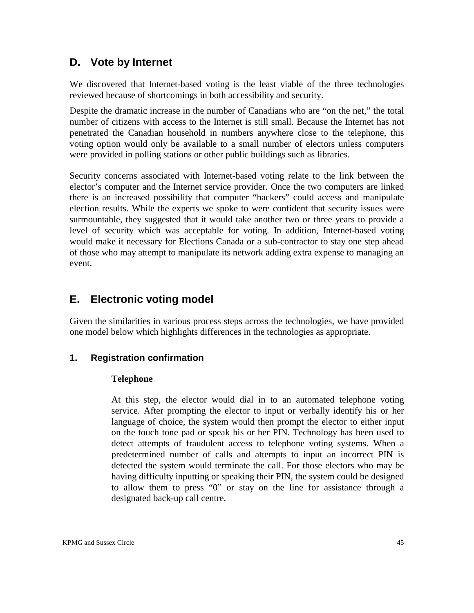## **D. Vote by Internet**

We discovered that Internet-based voting is the least viable of the three technologies reviewed because of shortcomings in both accessibility and security.

Despite the dramatic increase in the number of Canadians who are "on the net," the total number of citizens with access to the Internet is still small. Because the Internet has not penetrated the Canadian household in numbers anywhere close to the telephone, this voting option would only be available to a small number of electors unless computers were provided in polling stations or other public buildings such as libraries.

Security concerns associated with Internet-based voting relate to the link between the elector's computer and the Internet service provider. Once the two computers are linked there is an increased possibility that computer "hackers" could access and manipulate election results. While the experts we spoke to were confident that security issues were surmountable, they suggested that it would take another two or three years to provide a level of security which was acceptable for voting. In addition, Internet-based voting would make it necessary for Elections Canada or a sub-contractor to stay one step ahead of those who may attempt to manipulate its network adding extra expense to managing an event.

## **E. Electronic voting model**

Given the similarities in various process steps across the technologies, we have provided one model below which highlights differences in the technologies as appropriate.

#### **1. Registration confirmation**

#### **Telephone**

At this step, the elector would dial in to an automated telephone voting service. After prompting the elector to input or verbally identify his or her language of choice, the system would then prompt the elector to either input on the touch tone pad or speak his or her PIN. Technology has been used to detect attempts of fraudulent access to telephone voting systems. When a predetermined number of calls and attempts to input an incorrect PIN is detected the system would terminate the call. For those electors who may be having difficulty inputting or speaking their PIN, the system could be designed to allow them to press "0" or stay on the line for assistance through a designated back-up call centre.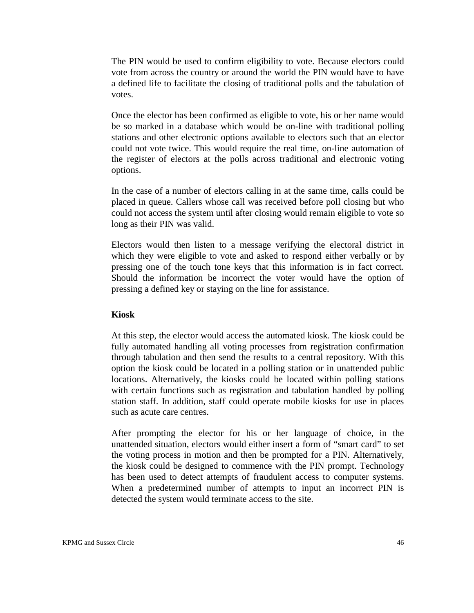The PIN would be used to confirm eligibility to vote. Because electors could vote from across the country or around the world the PIN would have to have a defined life to facilitate the closing of traditional polls and the tabulation of votes.

Once the elector has been confirmed as eligible to vote, his or her name would be so marked in a database which would be on-line with traditional polling stations and other electronic options available to electors such that an elector could not vote twice. This would require the real time, on-line automation of the register of electors at the polls across traditional and electronic voting options.

In the case of a number of electors calling in at the same time, calls could be placed in queue. Callers whose call was received before poll closing but who could not access the system until after closing would remain eligible to vote so long as their PIN was valid.

Electors would then listen to a message verifying the electoral district in which they were eligible to vote and asked to respond either verbally or by pressing one of the touch tone keys that this information is in fact correct. Should the information be incorrect the voter would have the option of pressing a defined key or staying on the line for assistance.

#### **Kiosk**

At this step, the elector would access the automated kiosk. The kiosk could be fully automated handling all voting processes from registration confirmation through tabulation and then send the results to a central repository. With this option the kiosk could be located in a polling station or in unattended public locations. Alternatively, the kiosks could be located within polling stations with certain functions such as registration and tabulation handled by polling station staff. In addition, staff could operate mobile kiosks for use in places such as acute care centres.

After prompting the elector for his or her language of choice, in the unattended situation, electors would either insert a form of "smart card" to set the voting process in motion and then be prompted for a PIN. Alternatively, the kiosk could be designed to commence with the PIN prompt. Technology has been used to detect attempts of fraudulent access to computer systems. When a predetermined number of attempts to input an incorrect PIN is detected the system would terminate access to the site.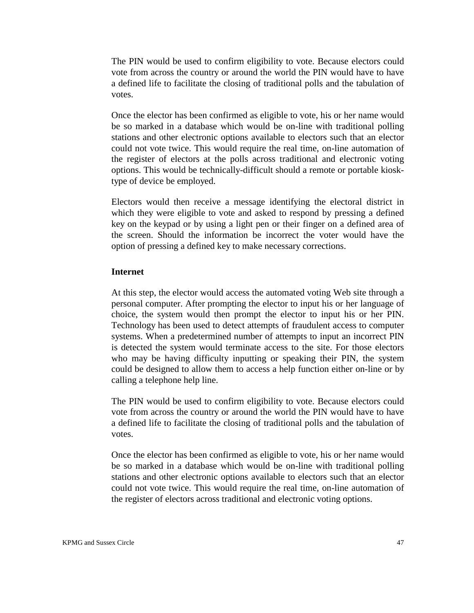The PIN would be used to confirm eligibility to vote. Because electors could vote from across the country or around the world the PIN would have to have a defined life to facilitate the closing of traditional polls and the tabulation of votes.

Once the elector has been confirmed as eligible to vote, his or her name would be so marked in a database which would be on-line with traditional polling stations and other electronic options available to electors such that an elector could not vote twice. This would require the real time, on-line automation of the register of electors at the polls across traditional and electronic voting options. This would be technically-difficult should a remote or portable kiosktype of device be employed.

Electors would then receive a message identifying the electoral district in which they were eligible to vote and asked to respond by pressing a defined key on the keypad or by using a light pen or their finger on a defined area of the screen. Should the information be incorrect the voter would have the option of pressing a defined key to make necessary corrections.

#### **Internet**

At this step, the elector would access the automated voting Web site through a personal computer. After prompting the elector to input his or her language of choice, the system would then prompt the elector to input his or her PIN. Technology has been used to detect attempts of fraudulent access to computer systems. When a predetermined number of attempts to input an incorrect PIN is detected the system would terminate access to the site. For those electors who may be having difficulty inputting or speaking their PIN, the system could be designed to allow them to access a help function either on-line or by calling a telephone help line.

The PIN would be used to confirm eligibility to vote. Because electors could vote from across the country or around the world the PIN would have to have a defined life to facilitate the closing of traditional polls and the tabulation of votes.

Once the elector has been confirmed as eligible to vote, his or her name would be so marked in a database which would be on-line with traditional polling stations and other electronic options available to electors such that an elector could not vote twice. This would require the real time, on-line automation of the register of electors across traditional and electronic voting options.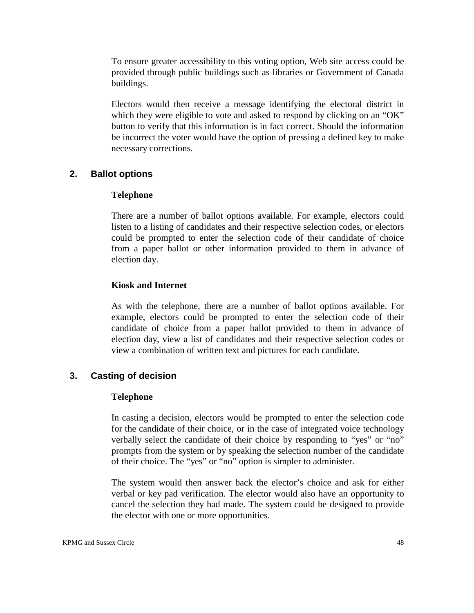To ensure greater accessibility to this voting option, Web site access could be provided through public buildings such as libraries or Government of Canada buildings.

Electors would then receive a message identifying the electoral district in which they were eligible to vote and asked to respond by clicking on an "OK" button to verify that this information is in fact correct. Should the information be incorrect the voter would have the option of pressing a defined key to make necessary corrections.

#### **2. Ballot options**

#### **Telephone**

There are a number of ballot options available. For example, electors could listen to a listing of candidates and their respective selection codes, or electors could be prompted to enter the selection code of their candidate of choice from a paper ballot or other information provided to them in advance of election day.

#### **Kiosk and Internet**

As with the telephone, there are a number of ballot options available. For example, electors could be prompted to enter the selection code of their candidate of choice from a paper ballot provided to them in advance of election day, view a list of candidates and their respective selection codes or view a combination of written text and pictures for each candidate.

#### **3. Casting of decision**

#### **Telephone**

In casting a decision, electors would be prompted to enter the selection code for the candidate of their choice, or in the case of integrated voice technology verbally select the candidate of their choice by responding to "yes" or "no" prompts from the system or by speaking the selection number of the candidate of their choice. The "yes" or "no" option is simpler to administer.

The system would then answer back the elector's choice and ask for either verbal or key pad verification. The elector would also have an opportunity to cancel the selection they had made. The system could be designed to provide the elector with one or more opportunities.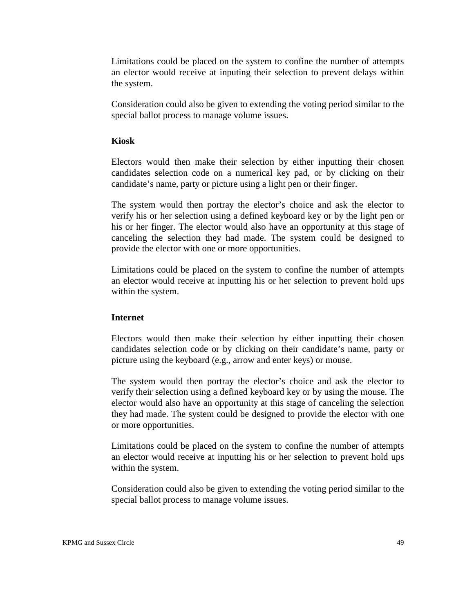Limitations could be placed on the system to confine the number of attempts an elector would receive at inputing their selection to prevent delays within the system.

Consideration could also be given to extending the voting period similar to the special ballot process to manage volume issues.

#### **Kiosk**

Electors would then make their selection by either inputting their chosen candidates selection code on a numerical key pad, or by clicking on their candidate's name, party or picture using a light pen or their finger.

The system would then portray the elector's choice and ask the elector to verify his or her selection using a defined keyboard key or by the light pen or his or her finger. The elector would also have an opportunity at this stage of canceling the selection they had made. The system could be designed to provide the elector with one or more opportunities.

Limitations could be placed on the system to confine the number of attempts an elector would receive at inputting his or her selection to prevent hold ups within the system.

#### **Internet**

Electors would then make their selection by either inputting their chosen candidates selection code or by clicking on their candidate's name, party or picture using the keyboard (e.g., arrow and enter keys) or mouse.

The system would then portray the elector's choice and ask the elector to verify their selection using a defined keyboard key or by using the mouse. The elector would also have an opportunity at this stage of canceling the selection they had made. The system could be designed to provide the elector with one or more opportunities.

Limitations could be placed on the system to confine the number of attempts an elector would receive at inputting his or her selection to prevent hold ups within the system.

Consideration could also be given to extending the voting period similar to the special ballot process to manage volume issues.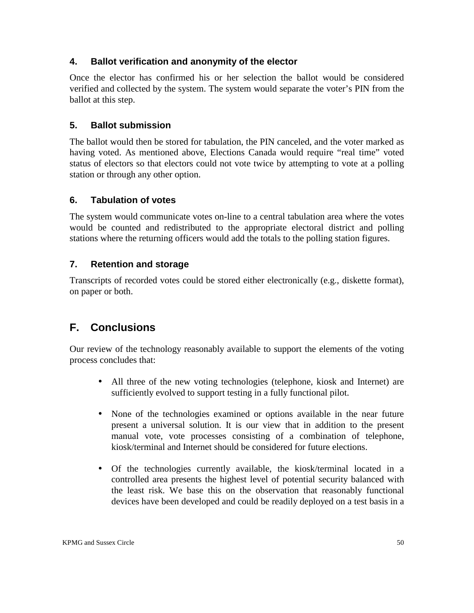### **4. Ballot verification and anonymity of the elector**

Once the elector has confirmed his or her selection the ballot would be considered verified and collected by the system. The system would separate the voter's PIN from the ballot at this step.

### **5. Ballot submission**

The ballot would then be stored for tabulation, the PIN canceled, and the voter marked as having voted. As mentioned above, Elections Canada would require "real time" voted status of electors so that electors could not vote twice by attempting to vote at a polling station or through any other option.

### **6. Tabulation of votes**

The system would communicate votes on-line to a central tabulation area where the votes would be counted and redistributed to the appropriate electoral district and polling stations where the returning officers would add the totals to the polling station figures.

### **7. Retention and storage**

Transcripts of recorded votes could be stored either electronically (e.g., diskette format), on paper or both.

# **F. Conclusions**

Our review of the technology reasonably available to support the elements of the voting process concludes that:

- All three of the new voting technologies (telephone, kiosk and Internet) are sufficiently evolved to support testing in a fully functional pilot.
- None of the technologies examined or options available in the near future present a universal solution. It is our view that in addition to the present manual vote, vote processes consisting of a combination of telephone, kiosk/terminal and Internet should be considered for future elections.
- • Of the technologies currently available, the kiosk/terminal located in a controlled area presents the highest level of potential security balanced with the least risk. We base this on the observation that reasonably functional devices have been developed and could be readily deployed on a test basis in a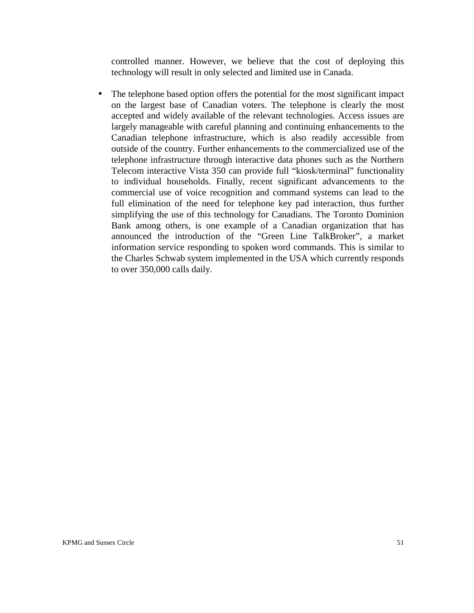controlled manner. However, we believe that the cost of deploying this technology will result in only selected and limited use in Canada.

• The telephone based option offers the potential for the most significant impact on the largest base of Canadian voters. The telephone is clearly the most accepted and widely available of the relevant technologies. Access issues are largely manageable with careful planning and continuing enhancements to the Canadian telephone infrastructure, which is also readily accessible from outside of the country. Further enhancements to the commercialized use of the telephone infrastructure through interactive data phones such as the Northern Telecom interactive Vista 350 can provide full "kiosk/terminal" functionality to individual households. Finally, recent significant advancements to the commercial use of voice recognition and command systems can lead to the full elimination of the need for telephone key pad interaction, thus further simplifying the use of this technology for Canadians. The Toronto Dominion Bank among others, is one example of a Canadian organization that has announced the introduction of the "Green Line TalkBroker", a market information service responding to spoken word commands. This is similar to the Charles Schwab system implemented in the USA which currently responds to over 350,000 calls daily.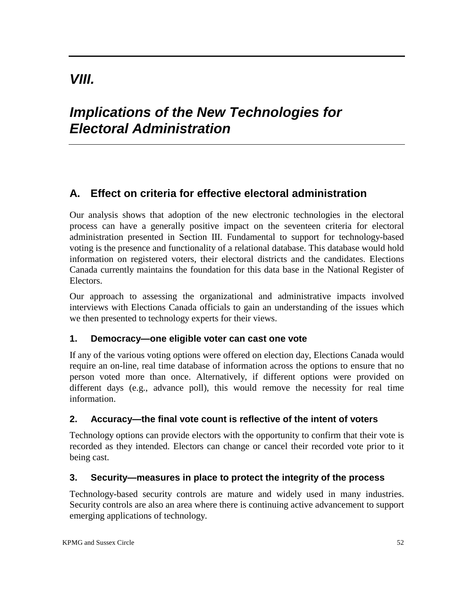# *VIII.*

# *Implications of the New Technologies for Electoral Administration*

# **A. Effect on criteria for effective electoral administration**

Our analysis shows that adoption of the new electronic technologies in the electoral process can have a generally positive impact on the seventeen criteria for electoral administration presented in Section III. Fundamental to support for technology-based voting is the presence and functionality of a relational database. This database would hold information on registered voters, their electoral districts and the candidates. Elections Canada currently maintains the foundation for this data base in the National Register of Electors.

Our approach to assessing the organizational and administrative impacts involved interviews with Elections Canada officials to gain an understanding of the issues which we then presented to technology experts for their views.

#### **1. Democracy—one eligible voter can cast one vote**

If any of the various voting options were offered on election day, Elections Canada would require an on-line, real time database of information across the options to ensure that no person voted more than once. Alternatively, if different options were provided on different days (e.g., advance poll), this would remove the necessity for real time information.

#### **2. Accuracy—the final vote count is reflective of the intent of voters**

Technology options can provide electors with the opportunity to confirm that their vote is recorded as they intended. Electors can change or cancel their recorded vote prior to it being cast.

#### **3. Security—measures in place to protect the integrity of the process**

Technology-based security controls are mature and widely used in many industries. Security controls are also an area where there is continuing active advancement to support emerging applications of technology.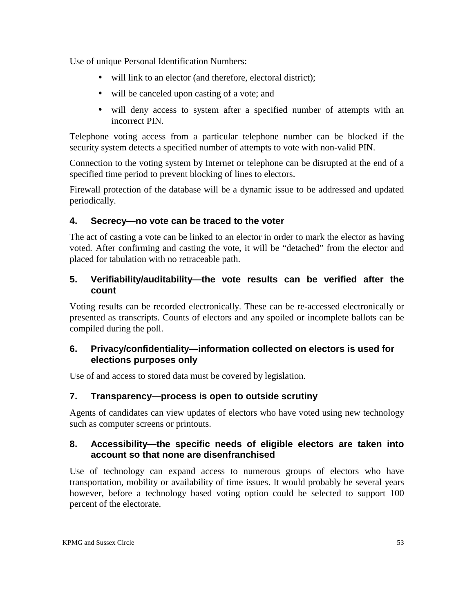Use of unique Personal Identification Numbers:

- will link to an elector (and therefore, electoral district);
- will be canceled upon casting of a vote; and
- will deny access to system after a specified number of attempts with an incorrect PIN.

Telephone voting access from a particular telephone number can be blocked if the security system detects a specified number of attempts to vote with non-valid PIN.

Connection to the voting system by Internet or telephone can be disrupted at the end of a specified time period to prevent blocking of lines to electors.

Firewall protection of the database will be a dynamic issue to be addressed and updated periodically.

### **4. Secrecy—no vote can be traced to the voter**

The act of casting a vote can be linked to an elector in order to mark the elector as having voted*.* After confirming and casting the vote, it will be "detached" from the elector and placed for tabulation with no retraceable path.

### **5. Verifiability/auditability—the vote results can be verified after the count**

Voting results can be recorded electronically. These can be re-accessed electronically or presented as transcripts. Counts of electors and any spoiled or incomplete ballots can be compiled during the poll.

### **6. Privacy/confidentiality—information collected on electors is used for elections purposes only**

Use of and access to stored data must be covered by legislation.

#### **7. Transparency—process is open to outside scrutiny**

Agents of candidates can view updates of electors who have voted using new technology such as computer screens or printouts.

### **8. Accessibility—the specific needs of eligible electors are taken into account so that none are disenfranchised**

Use of technology can expand access to numerous groups of electors who have transportation, mobility or availability of time issues. It would probably be several years however, before a technology based voting option could be selected to support 100 percent of the electorate.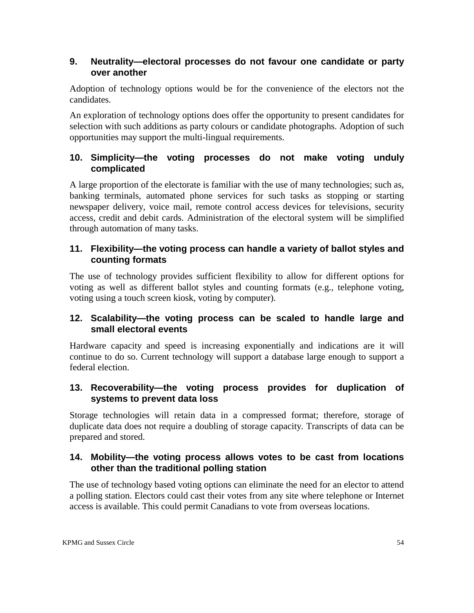### **9. Neutrality—electoral processes do not favour one candidate or party over another**

Adoption of technology options would be for the convenience of the electors not the candidates.

An exploration of technology options does offer the opportunity to present candidates for selection with such additions as party colours or candidate photographs. Adoption of such opportunities may support the multi-lingual requirements.

### **10. Simplicity—the voting processes do not make voting unduly complicated**

A large proportion of the electorate is familiar with the use of many technologies; such as, banking terminals, automated phone services for such tasks as stopping or starting newspaper delivery, voice mail, remote control access devices for televisions, security access, credit and debit cards. Administration of the electoral system will be simplified through automation of many tasks.

### **11. Flexibility—the voting process can handle a variety of ballot styles and counting formats**

The use of technology provides sufficient flexibility to allow for different options for voting as well as different ballot styles and counting formats (e.g., telephone voting, voting using a touch screen kiosk, voting by computer).

### **12. Scalability—the voting process can be scaled to handle large and small electoral events**

Hardware capacity and speed is increasing exponentially and indications are it will continue to do so. Current technology will support a database large enough to support a federal election.

### **13. Recoverability—the voting process provides for duplication of systems to prevent data loss**

Storage technologies will retain data in a compressed format; therefore, storage of duplicate data does not require a doubling of storage capacity. Transcripts of data can be prepared and stored.

### **14. Mobility—the voting process allows votes to be cast from locations other than the traditional polling station**

The use of technology based voting options can eliminate the need for an elector to attend a polling station. Electors could cast their votes from any site where telephone or Internet access is available. This could permit Canadians to vote from overseas locations.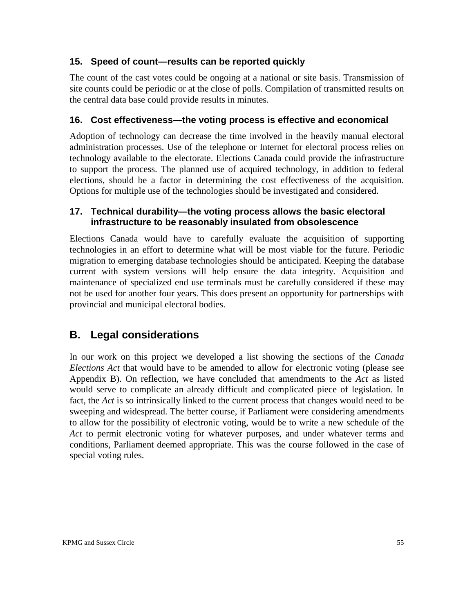### **15. Speed of count—results can be reported quickly**

The count of the cast votes could be ongoing at a national or site basis. Transmission of site counts could be periodic or at the close of polls. Compilation of transmitted results on the central data base could provide results in minutes.

### **16. Cost effectiveness—the voting process is effective and economical**

Adoption of technology can decrease the time involved in the heavily manual electoral administration processes. Use of the telephone or Internet for electoral process relies on technology available to the electorate. Elections Canada could provide the infrastructure to support the process. The planned use of acquired technology, in addition to federal elections, should be a factor in determining the cost effectiveness of the acquisition. Options for multiple use of the technologies should be investigated and considered.

#### **17. Technical durability—the voting process allows the basic electoral infrastructure to be reasonably insulated from obsolescence**

Elections Canada would have to carefully evaluate the acquisition of supporting technologies in an effort to determine what will be most viable for the future. Periodic migration to emerging database technologies should be anticipated. Keeping the database current with system versions will help ensure the data integrity. Acquisition and maintenance of specialized end use terminals must be carefully considered if these may not be used for another four years. This does present an opportunity for partnerships with provincial and municipal electoral bodies.

# **B. Legal considerations**

In our work on this project we developed a list showing the sections of the *Canada Elections Act* that would have to be amended to allow for electronic voting (please see Appendix B). On reflection, we have concluded that amendments to the *Act* as listed would serve to complicate an already difficult and complicated piece of legislation. In fact, the *Act* is so intrinsically linked to the current process that changes would need to be sweeping and widespread. The better course, if Parliament were considering amendments to allow for the possibility of electronic voting, would be to write a new schedule of the *Act* to permit electronic voting for whatever purposes, and under whatever terms and conditions, Parliament deemed appropriate. This was the course followed in the case of special voting rules.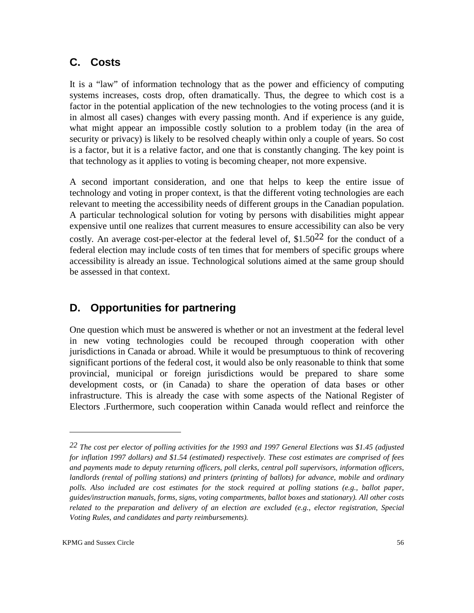## **C. Costs**

It is a "law" of information technology that as the power and efficiency of computing systems increases, costs drop, often dramatically. Thus, the degree to which cost is a factor in the potential application of the new technologies to the voting process (and it is in almost all cases) changes with every passing month. And if experience is any guide, what might appear an impossible costly solution to a problem today (in the area of security or privacy) is likely to be resolved cheaply within only a couple of years. So cost is a factor, but it is a relative factor, and one that is constantly changing. The key point is that technology as it applies to voting is becoming cheaper, not more expensive.

A second important consideration, and one that helps to keep the entire issue of technology and voting in proper context, is that the different voting technologies are each relevant to meeting the accessibility needs of different groups in the Canadian population. A particular technological solution for voting by persons with disabilities might appear expensive until one realizes that current measures to ensure accessibility can also be very costly. An average cost-per-elector at the federal level of,  $$1.50^{22}$  for the conduct of a federal election may include costs of ten times that for members of specific groups where accessibility is already an issue. Technological solutions aimed at the same group should be assessed in that context.

# **D. Opportunities for partnering**

One question which must be answered is whether or not an investment at the federal level in new voting technologies could be recouped through cooperation with other jurisdictions in Canada or abroad. While it would be presumptuous to think of recovering significant portions of the federal cost, it would also be only reasonable to think that some provincial, municipal or foreign jurisdictions would be prepared to share some development costs, or (in Canada) to share the operation of data bases or other infrastructure. This is already the case with some aspects of the National Register of Electors .Furthermore, such cooperation within Canada would reflect and reinforce the

*<sup>22</sup> The cost per elector of polling activities for the 1993 and 1997 General Elections was \$1.45 (adjusted for inflation 1997 dollars) and \$1.54 (estimated) respectively. These cost estimates are comprised of fees and payments made to deputy returning officers, poll clerks, central poll supervisors, information officers, landlords (rental of polling stations) and printers (printing of ballots) for advance, mobile and ordinary polls. Also included are cost estimates for the stock required at polling stations (e.g., ballot paper, guides/instruction manuals, forms, signs, voting compartments, ballot boxes and stationary). All other costs related to the preparation and delivery of an election are excluded (e.g., elector registration, Special Voting Rules, and candidates and party reimbursements).*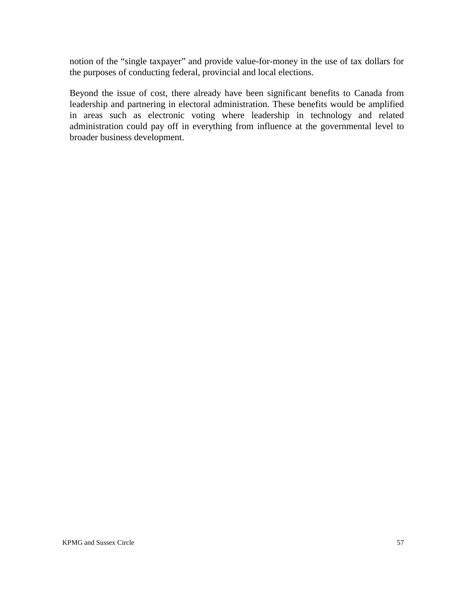notion of the "single taxpayer" and provide value-for-money in the use of tax dollars for the purposes of conducting federal, provincial and local elections.

Beyond the issue of cost, there already have been significant benefits to Canada from leadership and partnering in electoral administration. These benefits would be amplified in areas such as electronic voting where leadership in technology and related administration could pay off in everything from influence at the governmental level to broader business development.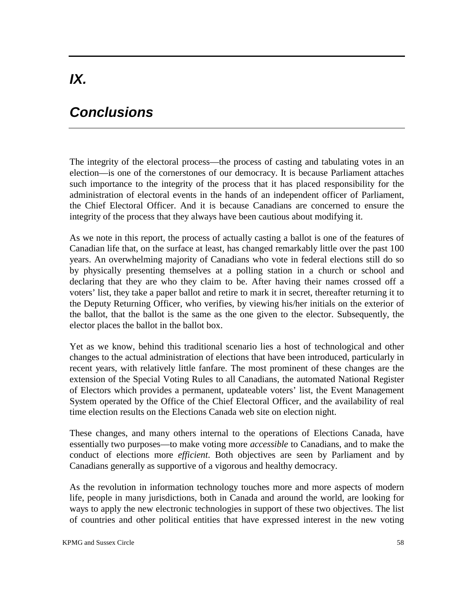# *IX.*

# *Conclusions*

The integrity of the electoral process—the process of casting and tabulating votes in an election—is one of the cornerstones of our democracy. It is because Parliament attaches such importance to the integrity of the process that it has placed responsibility for the administration of electoral events in the hands of an independent officer of Parliament, the Chief Electoral Officer. And it is because Canadians are concerned to ensure the integrity of the process that they always have been cautious about modifying it.

As we note in this report, the process of actually casting a ballot is one of the features of Canadian life that, on the surface at least, has changed remarkably little over the past 100 years. An overwhelming majority of Canadians who vote in federal elections still do so by physically presenting themselves at a polling station in a church or school and declaring that they are who they claim to be. After having their names crossed off a voters' list, they take a paper ballot and retire to mark it in secret, thereafter returning it to the Deputy Returning Officer, who verifies, by viewing his/her initials on the exterior of the ballot, that the ballot is the same as the one given to the elector. Subsequently, the elector places the ballot in the ballot box.

Yet as we know, behind this traditional scenario lies a host of technological and other changes to the actual administration of elections that have been introduced, particularly in recent years, with relatively little fanfare. The most prominent of these changes are the extension of the Special Voting Rules to all Canadians, the automated National Register of Electors which provides a permanent, updateable voters' list, the Event Management System operated by the Office of the Chief Electoral Officer, and the availability of real time election results on the Elections Canada web site on election night.

These changes, and many others internal to the operations of Elections Canada, have essentially two purposes—to make voting more *accessible* to Canadians, and to make the conduct of elections more *efficient*. Both objectives are seen by Parliament and by Canadians generally as supportive of a vigorous and healthy democracy.

As the revolution in information technology touches more and more aspects of modern life, people in many jurisdictions, both in Canada and around the world, are looking for ways to apply the new electronic technologies in support of these two objectives. The list of countries and other political entities that have expressed interest in the new voting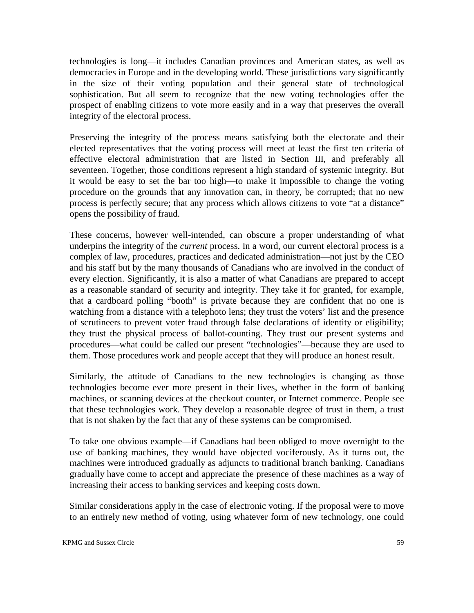technologies is long—it includes Canadian provinces and American states, as well as democracies in Europe and in the developing world. These jurisdictions vary significantly in the size of their voting population and their general state of technological sophistication. But all seem to recognize that the new voting technologies offer the prospect of enabling citizens to vote more easily and in a way that preserves the overall integrity of the electoral process.

Preserving the integrity of the process means satisfying both the electorate and their elected representatives that the voting process will meet at least the first ten criteria of effective electoral administration that are listed in Section III, and preferably all seventeen. Together, those conditions represent a high standard of systemic integrity. But it would be easy to set the bar too high—to make it impossible to change the voting procedure on the grounds that any innovation can, in theory, be corrupted; that no new process is perfectly secure; that any process which allows citizens to vote "at a distance" opens the possibility of fraud.

These concerns, however well-intended, can obscure a proper understanding of what underpins the integrity of the *current* process. In a word, our current electoral process is a complex of law, procedures, practices and dedicated administration—not just by the CEO and his staff but by the many thousands of Canadians who are involved in the conduct of every election. Significantly, it is also a matter of what Canadians are prepared to accept as a reasonable standard of security and integrity. They take it for granted, for example, that a cardboard polling "booth" is private because they are confident that no one is watching from a distance with a telephoto lens; they trust the voters' list and the presence of scrutineers to prevent voter fraud through false declarations of identity or eligibility; they trust the physical process of ballot-counting. They trust our present systems and procedures—what could be called our present "technologies"—because they are used to them. Those procedures work and people accept that they will produce an honest result.

Similarly, the attitude of Canadians to the new technologies is changing as those technologies become ever more present in their lives, whether in the form of banking machines, or scanning devices at the checkout counter, or Internet commerce. People see that these technologies work. They develop a reasonable degree of trust in them, a trust that is not shaken by the fact that any of these systems can be compromised.

To take one obvious example—if Canadians had been obliged to move overnight to the use of banking machines, they would have objected vociferously. As it turns out, the machines were introduced gradually as adjuncts to traditional branch banking. Canadians gradually have come to accept and appreciate the presence of these machines as a way of increasing their access to banking services and keeping costs down.

Similar considerations apply in the case of electronic voting. If the proposal were to move to an entirely new method of voting, using whatever form of new technology, one could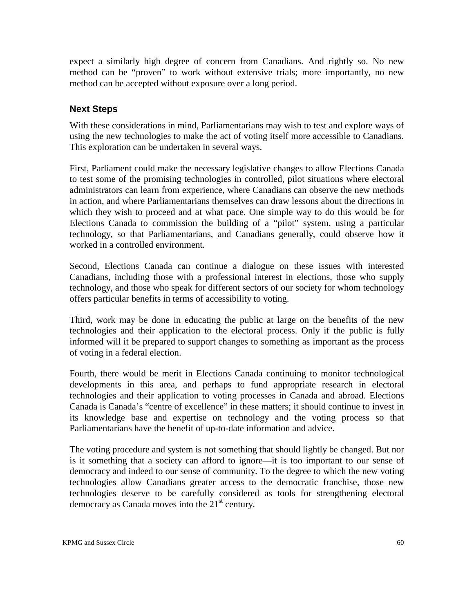expect a similarly high degree of concern from Canadians. And rightly so. No new method can be "proven" to work without extensive trials; more importantly, no new method can be accepted without exposure over a long period.

#### **Next Steps**

With these considerations in mind, Parliamentarians may wish to test and explore ways of using the new technologies to make the act of voting itself more accessible to Canadians. This exploration can be undertaken in several ways.

First, Parliament could make the necessary legislative changes to allow Elections Canada to test some of the promising technologies in controlled, pilot situations where electoral administrators can learn from experience, where Canadians can observe the new methods in action, and where Parliamentarians themselves can draw lessons about the directions in which they wish to proceed and at what pace. One simple way to do this would be for Elections Canada to commission the building of a "pilot" system, using a particular technology, so that Parliamentarians, and Canadians generally, could observe how it worked in a controlled environment.

Second, Elections Canada can continue a dialogue on these issues with interested Canadians, including those with a professional interest in elections, those who supply technology, and those who speak for different sectors of our society for whom technology offers particular benefits in terms of accessibility to voting.

Third, work may be done in educating the public at large on the benefits of the new technologies and their application to the electoral process. Only if the public is fully informed will it be prepared to support changes to something as important as the process of voting in a federal election.

Fourth, there would be merit in Elections Canada continuing to monitor technological developments in this area, and perhaps to fund appropriate research in electoral technologies and their application to voting processes in Canada and abroad. Elections Canada is Canada's "centre of excellence" in these matters; it should continue to invest in its knowledge base and expertise on technology and the voting process so that Parliamentarians have the benefit of up-to-date information and advice.

The voting procedure and system is not something that should lightly be changed. But nor is it something that a society can afford to ignore—it is too important to our sense of democracy and indeed to our sense of community. To the degree to which the new voting technologies allow Canadians greater access to the democratic franchise, those new technologies deserve to be carefully considered as tools for strengthening electoral democracy as Canada moves into the  $21<sup>st</sup>$  century.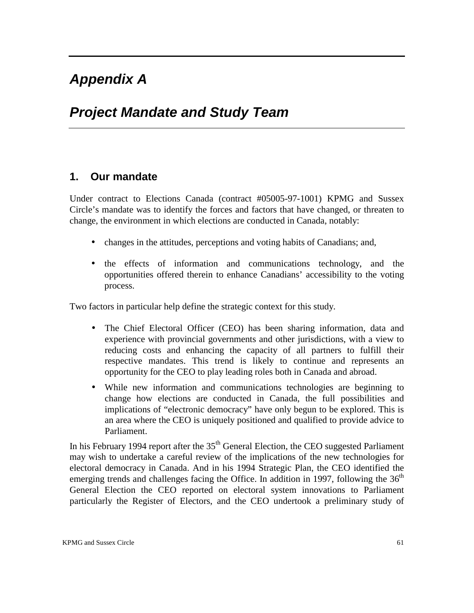# *Appendix A*

# *Project Mandate and Study Team*

## **1. Our mandate**

Under contract to Elections Canada (contract #05005-97-1001) KPMG and Sussex Circle's mandate was to identify the forces and factors that have changed, or threaten to change, the environment in which elections are conducted in Canada, notably:

- changes in the attitudes, perceptions and voting habits of Canadians; and,
- the effects of information and communications technology, and the opportunities offered therein to enhance Canadians' accessibility to the voting process.

Two factors in particular help define the strategic context for this study.

- The Chief Electoral Officer (CEO) has been sharing information, data and experience with provincial governments and other jurisdictions, with a view to reducing costs and enhancing the capacity of all partners to fulfill their respective mandates. This trend is likely to continue and represents an opportunity for the CEO to play leading roles both in Canada and abroad.
- While new information and communications technologies are beginning to change how elections are conducted in Canada, the full possibilities and implications of "electronic democracy" have only begun to be explored. This is an area where the CEO is uniquely positioned and qualified to provide advice to Parliament.

In his February 1994 report after the  $35<sup>th</sup>$  General Election, the CEO suggested Parliament may wish to undertake a careful review of the implications of the new technologies for electoral democracy in Canada. And in his 1994 Strategic Plan, the CEO identified the emerging trends and challenges facing the Office. In addition in 1997, following the  $36<sup>th</sup>$ General Election the CEO reported on electoral system innovations to Parliament particularly the Register of Electors, and the CEO undertook a preliminary study of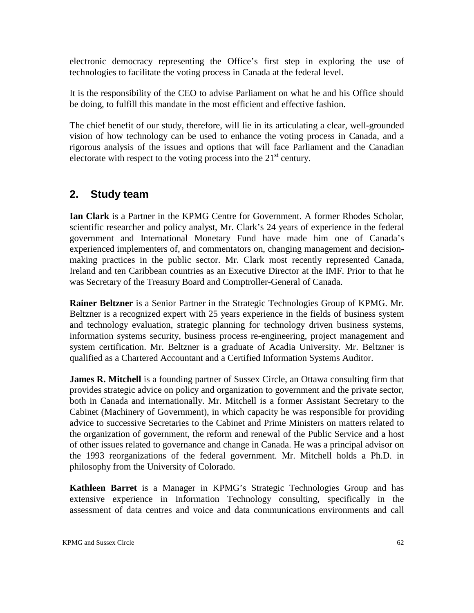electronic democracy representing the Office's first step in exploring the use of technologies to facilitate the voting process in Canada at the federal level.

It is the responsibility of the CEO to advise Parliament on what he and his Office should be doing, to fulfill this mandate in the most efficient and effective fashion.

The chief benefit of our study, therefore, will lie in its articulating a clear, well-grounded vision of how technology can be used to enhance the voting process in Canada, and a rigorous analysis of the issues and options that will face Parliament and the Canadian electorate with respect to the voting process into the  $21<sup>st</sup>$  century.

# **2. Study team**

**Ian Clark** is a Partner in the KPMG Centre for Government. A former Rhodes Scholar, scientific researcher and policy analyst, Mr. Clark's 24 years of experience in the federal government and International Monetary Fund have made him one of Canada's experienced implementers of, and commentators on, changing management and decisionmaking practices in the public sector. Mr. Clark most recently represented Canada, Ireland and ten Caribbean countries as an Executive Director at the IMF. Prior to that he was Secretary of the Treasury Board and Comptroller-General of Canada.

**Rainer Beltzner** is a Senior Partner in the Strategic Technologies Group of KPMG. Mr. Beltzner is a recognized expert with 25 years experience in the fields of business system and technology evaluation, strategic planning for technology driven business systems, information systems security, business process re-engineering, project management and system certification. Mr. Beltzner is a graduate of Acadia University. Mr. Beltzner is qualified as a Chartered Accountant and a Certified Information Systems Auditor.

**James R. Mitchell** is a founding partner of Sussex Circle, an Ottawa consulting firm that provides strategic advice on policy and organization to government and the private sector, both in Canada and internationally. Mr. Mitchell is a former Assistant Secretary to the Cabinet (Machinery of Government), in which capacity he was responsible for providing advice to successive Secretaries to the Cabinet and Prime Ministers on matters related to the organization of government, the reform and renewal of the Public Service and a host of other issues related to governance and change in Canada. He was a principal advisor on the 1993 reorganizations of the federal government. Mr. Mitchell holds a Ph.D. in philosophy from the University of Colorado.

**Kathleen Barret** is a Manager in KPMG's Strategic Technologies Group and has extensive experience in Information Technology consulting, specifically in the assessment of data centres and voice and data communications environments and call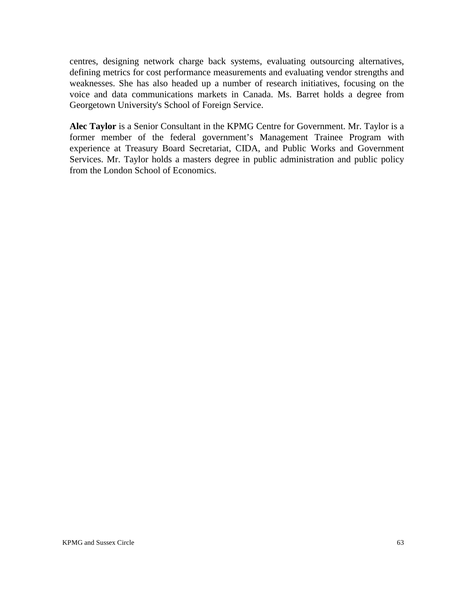centres, designing network charge back systems, evaluating outsourcing alternatives, defining metrics for cost performance measurements and evaluating vendor strengths and weaknesses. She has also headed up a number of research initiatives, focusing on the voice and data communications markets in Canada. Ms. Barret holds a degree from Georgetown University's School of Foreign Service.

**Alec Taylor** is a Senior Consultant in the KPMG Centre for Government. Mr. Taylor is a former member of the federal government's Management Trainee Program with experience at Treasury Board Secretariat, CIDA, and Public Works and Government Services. Mr. Taylor holds a masters degree in public administration and public policy from the London School of Economics.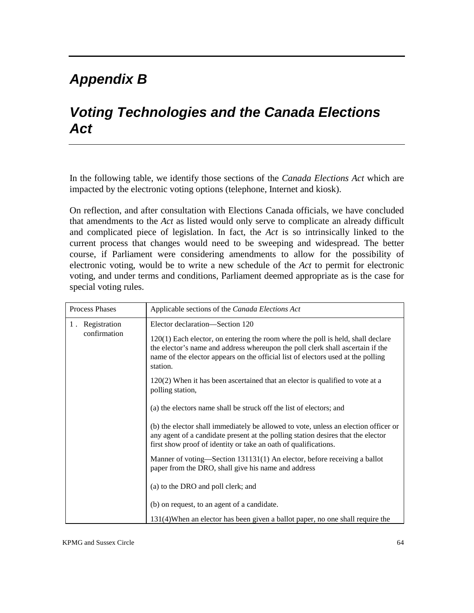# *Appendix B*

# *Voting Technologies and the Canada Elections Act*

In the following table, we identify those sections of the *Canada Elections Act* which are impacted by the electronic voting options (telephone, Internet and kiosk).

On reflection, and after consultation with Elections Canada officials, we have concluded that amendments to the *Act* as listed would only serve to complicate an already difficult and complicated piece of legislation. In fact, the *Act* is so intrinsically linked to the current process that changes would need to be sweeping and widespread. The better course, if Parliament were considering amendments to allow for the possibility of electronic voting, would be to write a new schedule of the *Act* to permit for electronic voting, and under terms and conditions, Parliament deemed appropriate as is the case for special voting rules.

| Process Phases                  | Applicable sections of the Canada Elections Act                                                                                                                                                                                                                     |
|---------------------------------|---------------------------------------------------------------------------------------------------------------------------------------------------------------------------------------------------------------------------------------------------------------------|
| 1. Registration<br>confirmation | Elector declaration—Section 120                                                                                                                                                                                                                                     |
|                                 | $120(1)$ Each elector, on entering the room where the poll is held, shall declare<br>the elector's name and address whereupon the poll clerk shall ascertain if the<br>name of the elector appears on the official list of electors used at the polling<br>station. |
|                                 | $120(2)$ When it has been ascertained that an elector is qualified to vote at a<br>polling station,                                                                                                                                                                 |
|                                 | (a) the electors name shall be struck off the list of electors; and                                                                                                                                                                                                 |
|                                 | (b) the elector shall immediately be allowed to vote, unless an election officer or<br>any agent of a candidate present at the polling station desires that the elector<br>first show proof of identity or take an oath of qualifications.                          |
|                                 | Manner of voting—Section 131131(1) An elector, before receiving a ballot<br>paper from the DRO, shall give his name and address                                                                                                                                     |
|                                 | (a) to the DRO and poll clerk; and                                                                                                                                                                                                                                  |
|                                 | (b) on request, to an agent of a candidate.                                                                                                                                                                                                                         |
|                                 | 131(4) When an elector has been given a ballot paper, no one shall require the                                                                                                                                                                                      |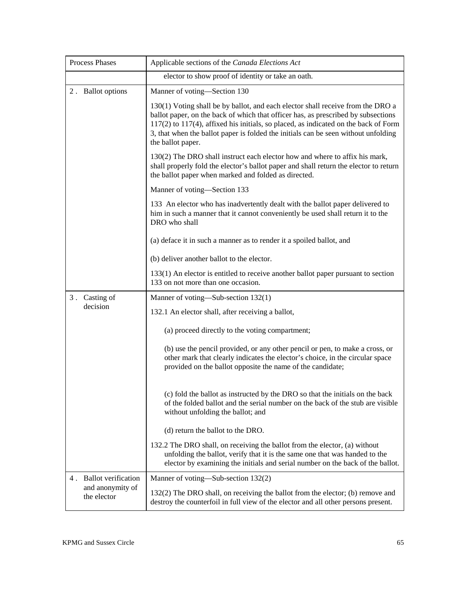| Process Phases                                            | Applicable sections of the Canada Elections Act                                                                                                                                                                                                                                                                                                                             |
|-----------------------------------------------------------|-----------------------------------------------------------------------------------------------------------------------------------------------------------------------------------------------------------------------------------------------------------------------------------------------------------------------------------------------------------------------------|
|                                                           | elector to show proof of identity or take an oath.                                                                                                                                                                                                                                                                                                                          |
| 2. Ballot options                                         | Manner of voting-Section 130                                                                                                                                                                                                                                                                                                                                                |
|                                                           | 130(1) Voting shall be by ballot, and each elector shall receive from the DRO a<br>ballot paper, on the back of which that officer has, as prescribed by subsections<br>$117(2)$ to $117(4)$ , affixed his initials, so placed, as indicated on the back of Form<br>3, that when the ballot paper is folded the initials can be seen without unfolding<br>the ballot paper. |
|                                                           | 130(2) The DRO shall instruct each elector how and where to affix his mark,<br>shall properly fold the elector's ballot paper and shall return the elector to return<br>the ballot paper when marked and folded as directed.                                                                                                                                                |
|                                                           | Manner of voting-Section 133                                                                                                                                                                                                                                                                                                                                                |
|                                                           | 133 An elector who has inadvertently dealt with the ballot paper delivered to<br>him in such a manner that it cannot conveniently be used shall return it to the<br>DRO who shall                                                                                                                                                                                           |
|                                                           | (a) deface it in such a manner as to render it a spoiled ballot, and                                                                                                                                                                                                                                                                                                        |
|                                                           | (b) deliver another ballot to the elector.                                                                                                                                                                                                                                                                                                                                  |
|                                                           | 133(1) An elector is entitled to receive another ballot paper pursuant to section<br>133 on not more than one occasion.                                                                                                                                                                                                                                                     |
| 3. Casting of                                             | Manner of voting—Sub-section 132(1)                                                                                                                                                                                                                                                                                                                                         |
| decision                                                  | 132.1 An elector shall, after receiving a ballot,                                                                                                                                                                                                                                                                                                                           |
|                                                           | (a) proceed directly to the voting compartment;                                                                                                                                                                                                                                                                                                                             |
|                                                           | (b) use the pencil provided, or any other pencil or pen, to make a cross, or<br>other mark that clearly indicates the elector's choice, in the circular space<br>provided on the ballot opposite the name of the candidate;                                                                                                                                                 |
|                                                           | (c) fold the ballot as instructed by the DRO so that the initials on the back<br>of the folded ballot and the serial number on the back of the stub are visible<br>without unfolding the ballot; and                                                                                                                                                                        |
|                                                           | (d) return the ballot to the DRO.                                                                                                                                                                                                                                                                                                                                           |
|                                                           | 132.2 The DRO shall, on receiving the ballot from the elector, (a) without<br>unfolding the ballot, verify that it is the same one that was handed to the<br>elector by examining the initials and serial number on the back of the ballot.                                                                                                                                 |
| 4. Ballot verification<br>and anonymity of<br>the elector | Manner of voting—Sub-section 132(2)                                                                                                                                                                                                                                                                                                                                         |
|                                                           | 132(2) The DRO shall, on receiving the ballot from the elector; (b) remove and<br>destroy the counterfoil in full view of the elector and all other persons present.                                                                                                                                                                                                        |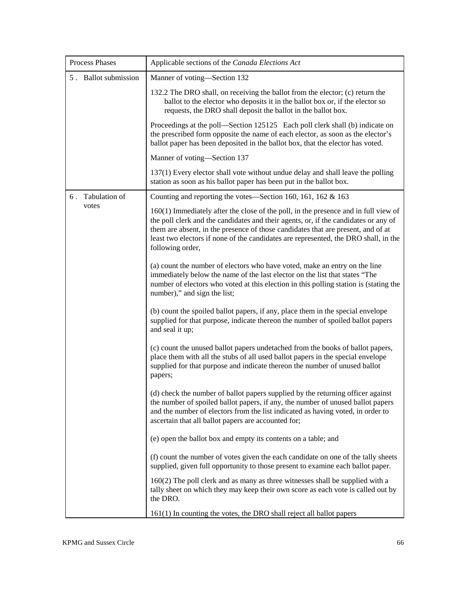| Process Phases       | Applicable sections of the Canada Elections Act                                                                                                                                                                                                                                                                                                                           |
|----------------------|---------------------------------------------------------------------------------------------------------------------------------------------------------------------------------------------------------------------------------------------------------------------------------------------------------------------------------------------------------------------------|
| 5. Ballot submission | Manner of voting-Section 132                                                                                                                                                                                                                                                                                                                                              |
|                      | 132.2 The DRO shall, on receiving the ballot from the elector; (c) return the<br>ballot to the elector who deposits it in the ballot box or, if the elector so<br>requests, the DRO shall deposit the ballot in the ballot box.                                                                                                                                           |
|                      | Proceedings at the poll—Section 125125 Each poll clerk shall (b) indicate on<br>the prescribed form opposite the name of each elector, as soon as the elector's<br>ballot paper has been deposited in the ballot box, that the elector has voted.                                                                                                                         |
|                      | Manner of voting—Section 137                                                                                                                                                                                                                                                                                                                                              |
|                      | 137(1) Every elector shall vote without undue delay and shall leave the polling<br>station as soon as his ballot paper has been put in the ballot box.                                                                                                                                                                                                                    |
| 6. Tabulation of     | Counting and reporting the votes—Section 160, 161, 162 $&$ 163                                                                                                                                                                                                                                                                                                            |
| votes                | 160(1) Immediately after the close of the poll, in the presence and in full view of<br>the poll clerk and the candidates and their agents, or, if the candidates or any of<br>them are absent, in the presence of those candidates that are present, and of at<br>least two electors if none of the candidates are represented, the DRO shall, in the<br>following order, |
|                      | (a) count the number of electors who have voted, make an entry on the line<br>immediately below the name of the last elector on the list that states "The<br>number of electors who voted at this election in this polling station is (stating the<br>number)," and sign the list;                                                                                        |
|                      | (b) count the spoiled ballot papers, if any, place them in the special envelope<br>supplied for that purpose, indicate thereon the number of spoiled ballot papers<br>and seal it up;                                                                                                                                                                                     |
|                      | (c) count the unused ballot papers undetached from the books of ballot papers,<br>place them with all the stubs of all used ballot papers in the special envelope<br>supplied for that purpose and indicate thereon the number of unused ballot<br>papers;                                                                                                                |
|                      | (d) check the number of ballot papers supplied by the returning officer against<br>the number of spoiled ballot papers, if any, the number of unused ballot papers<br>and the number of electors from the list indicated as having voted, in order to<br>ascertain that all ballot papers are accounted for;                                                              |
|                      | (e) open the ballot box and empty its contents on a table; and                                                                                                                                                                                                                                                                                                            |
|                      | (f) count the number of votes given the each candidate on one of the tally sheets<br>supplied, given full opportunity to those present to examine each ballot paper.                                                                                                                                                                                                      |
|                      | $160(2)$ The poll clerk and as many as three witnesses shall be supplied with a<br>tally sheet on which they may keep their own score as each vote is called out by<br>the DRO.                                                                                                                                                                                           |
|                      | $161(1)$ In counting the votes, the DRO shall reject all ballot papers                                                                                                                                                                                                                                                                                                    |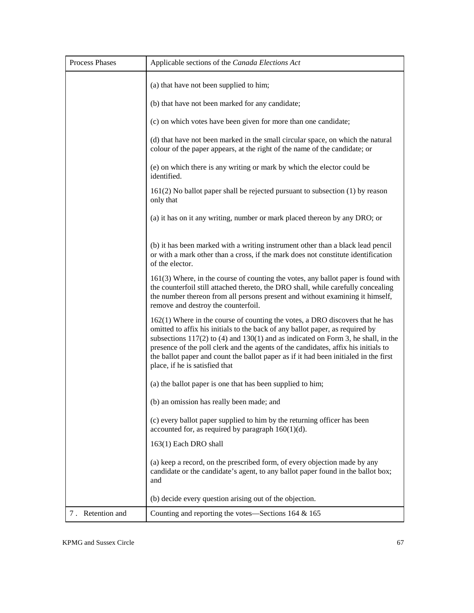| <b>Process Phases</b> | Applicable sections of the Canada Elections Act                                                                                                                                                                                                                                                                                                                                                                                                                           |
|-----------------------|---------------------------------------------------------------------------------------------------------------------------------------------------------------------------------------------------------------------------------------------------------------------------------------------------------------------------------------------------------------------------------------------------------------------------------------------------------------------------|
|                       | (a) that have not been supplied to him;                                                                                                                                                                                                                                                                                                                                                                                                                                   |
|                       | (b) that have not been marked for any candidate;                                                                                                                                                                                                                                                                                                                                                                                                                          |
|                       | (c) on which votes have been given for more than one candidate;                                                                                                                                                                                                                                                                                                                                                                                                           |
|                       | (d) that have not been marked in the small circular space, on which the natural<br>colour of the paper appears, at the right of the name of the candidate; or                                                                                                                                                                                                                                                                                                             |
|                       | (e) on which there is any writing or mark by which the elector could be<br>identified.                                                                                                                                                                                                                                                                                                                                                                                    |
|                       | $161(2)$ No ballot paper shall be rejected pursuant to subsection $(1)$ by reason<br>only that                                                                                                                                                                                                                                                                                                                                                                            |
|                       | (a) it has on it any writing, number or mark placed thereon by any DRO; or                                                                                                                                                                                                                                                                                                                                                                                                |
|                       | (b) it has been marked with a writing instrument other than a black lead pencil<br>or with a mark other than a cross, if the mark does not constitute identification<br>of the elector.                                                                                                                                                                                                                                                                                   |
|                       | 161(3) Where, in the course of counting the votes, any ballot paper is found with<br>the counterfoil still attached thereto, the DRO shall, while carefully concealing<br>the number thereon from all persons present and without examining it himself,<br>remove and destroy the counterfoil.                                                                                                                                                                            |
|                       | $162(1)$ Where in the course of counting the votes, a DRO discovers that he has<br>omitted to affix his initials to the back of any ballot paper, as required by<br>subsections $117(2)$ to (4) and $130(1)$ and as indicated on Form 3, he shall, in the<br>presence of the poll clerk and the agents of the candidates, affix his initials to<br>the ballot paper and count the ballot paper as if it had been initialed in the first<br>place, if he is satisfied that |
|                       | (a) the ballot paper is one that has been supplied to him;                                                                                                                                                                                                                                                                                                                                                                                                                |
|                       | (b) an omission has really been made; and                                                                                                                                                                                                                                                                                                                                                                                                                                 |
|                       | (c) every ballot paper supplied to him by the returning officer has been<br>accounted for, as required by paragraph $160(1)(d)$ .                                                                                                                                                                                                                                                                                                                                         |
|                       | 163(1) Each DRO shall                                                                                                                                                                                                                                                                                                                                                                                                                                                     |
|                       | (a) keep a record, on the prescribed form, of every objection made by any<br>candidate or the candidate's agent, to any ballot paper found in the ballot box;<br>and                                                                                                                                                                                                                                                                                                      |
|                       | (b) decide every question arising out of the objection.                                                                                                                                                                                                                                                                                                                                                                                                                   |
| 7. Retention and      | Counting and reporting the votes—Sections $164 \& 165$                                                                                                                                                                                                                                                                                                                                                                                                                    |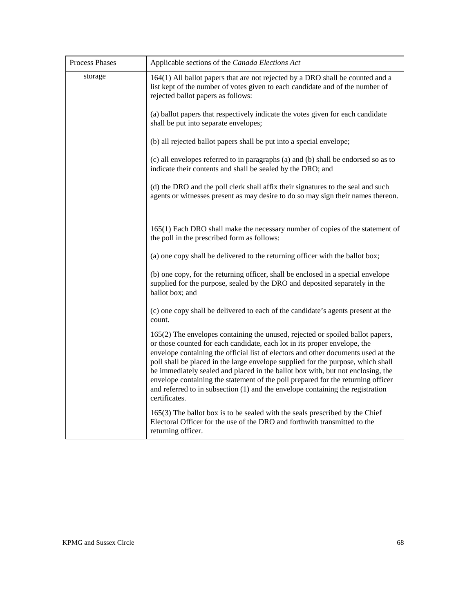| Process Phases | Applicable sections of the Canada Elections Act                                                                                                                                                                                                                                                                                                                                                                                                                                                                                                                                                                  |
|----------------|------------------------------------------------------------------------------------------------------------------------------------------------------------------------------------------------------------------------------------------------------------------------------------------------------------------------------------------------------------------------------------------------------------------------------------------------------------------------------------------------------------------------------------------------------------------------------------------------------------------|
| storage        | 164(1) All ballot papers that are not rejected by a DRO shall be counted and a<br>list kept of the number of votes given to each candidate and of the number of<br>rejected ballot papers as follows:                                                                                                                                                                                                                                                                                                                                                                                                            |
|                | (a) ballot papers that respectively indicate the votes given for each candidate<br>shall be put into separate envelopes;                                                                                                                                                                                                                                                                                                                                                                                                                                                                                         |
|                | (b) all rejected ballot papers shall be put into a special envelope;                                                                                                                                                                                                                                                                                                                                                                                                                                                                                                                                             |
|                | (c) all envelopes referred to in paragraphs (a) and (b) shall be endorsed so as to<br>indicate their contents and shall be sealed by the DRO; and                                                                                                                                                                                                                                                                                                                                                                                                                                                                |
|                | (d) the DRO and the poll clerk shall affix their signatures to the seal and such<br>agents or witnesses present as may desire to do so may sign their names thereon.                                                                                                                                                                                                                                                                                                                                                                                                                                             |
|                | 165(1) Each DRO shall make the necessary number of copies of the statement of<br>the poll in the prescribed form as follows:                                                                                                                                                                                                                                                                                                                                                                                                                                                                                     |
|                | (a) one copy shall be delivered to the returning officer with the ballot box;                                                                                                                                                                                                                                                                                                                                                                                                                                                                                                                                    |
|                | (b) one copy, for the returning officer, shall be enclosed in a special envelope<br>supplied for the purpose, sealed by the DRO and deposited separately in the<br>ballot box; and                                                                                                                                                                                                                                                                                                                                                                                                                               |
|                | (c) one copy shall be delivered to each of the candidate's agents present at the<br>count.                                                                                                                                                                                                                                                                                                                                                                                                                                                                                                                       |
|                | 165(2) The envelopes containing the unused, rejected or spoiled ballot papers,<br>or those counted for each candidate, each lot in its proper envelope, the<br>envelope containing the official list of electors and other documents used at the<br>poll shall be placed in the large envelope supplied for the purpose, which shall<br>be immediately sealed and placed in the ballot box with, but not enclosing, the<br>envelope containing the statement of the poll prepared for the returning officer<br>and referred to in subsection $(1)$ and the envelope containing the registration<br>certificates. |
|                | $165(3)$ The ballot box is to be sealed with the seals prescribed by the Chief<br>Electoral Officer for the use of the DRO and forthwith transmitted to the<br>returning officer.                                                                                                                                                                                                                                                                                                                                                                                                                                |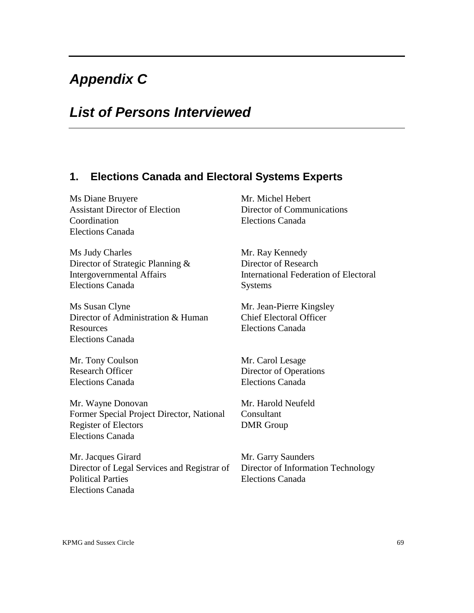# *Appendix C*

# *List of Persons Interviewed*

### **1. Elections Canada and Electoral Systems Experts**

Ms Diane Bruyere Mr. Michel Hebert Assistant Director of Election Director of Communications Coordination Elections Canada Elections Canada

Ms Judy Charles Mr. Ray Kennedy Director of Strategic Planning & Director of Research Elections Canada Systems

Ms Susan Clyne Mr. Jean-Pierre Kingsley Director of Administration & Human Chief Electoral Officer Resources Elections Canada Elections Canada

Mr. Tony Coulson Mr. Carol Lesage Elections Canada Elections Canada

Mr. Wayne Donovan Mr. Harold Neufeld Former Special Project Director, National Consultant Register of Electors **DMR** Group Elections Canada

Mr. Jacques Girard Mr. Garry Saunders Director of Legal Services and Registrar of Director of Information Technology Political Parties **Elections** Canada Elections Canada

Intergovernmental Affairs International Federation of Electoral

Research Officer Director of Operations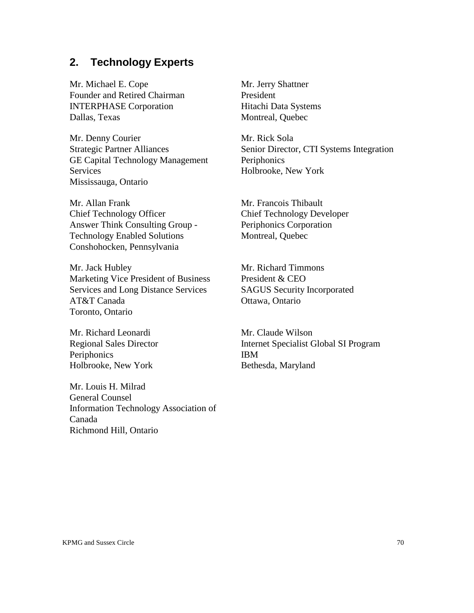## **2. Technology Experts**

Mr. Michael E. Cope Founder and Retired Chairman INTERPHASE Corporation Dallas, Texas

Mr. Denny Courier Strategic Partner Alliances GE Capital Technology Management **Services** Mississauga, Ontario

Mr. Allan Frank Chief Technology Officer Answer Think Consulting Group - Technology Enabled Solutions Conshohocken, Pennsylvania

Mr. Jack Hubley Marketing Vice President of Business Services and Long Distance Services AT&T Canada Toronto, Ontario

Mr. Richard Leonardi Regional Sales Director **Periphonics** Holbrooke, New York

Mr. Louis H. Milrad General Counsel Information Technology Association of Canada Richmond Hill, Ontario

Mr. Jerry Shattner President Hitachi Data Systems Montreal, Quebec

Mr. Rick Sola Senior Director, CTI Systems Integration Periphonics Holbrooke, New York

Mr. Francois Thibault Chief Technology Developer Periphonics Corporation Montreal, Quebec

Mr. Richard Timmons President & CEO SAGUS Security Incorporated Ottawa, Ontario

Mr. Claude Wilson Internet Specialist Global SI Program IBM Bethesda, Maryland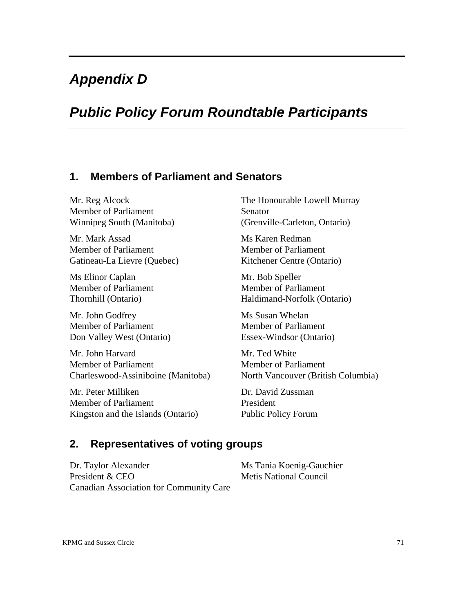# *Appendix D*

# *Public Policy Forum Roundtable Participants*

#### **1. Members of Parliament and Senators**

Mr. Reg Alcock Member of Parliament Winnipeg South (Manitoba)

Mr. Mark Assad Member of Parliament Gatineau-La Lievre (Quebec)

Ms Elinor Caplan Member of Parliament Thornhill (Ontario)

Mr. John Godfrey Member of Parliament Don Valley West (Ontario)

Mr. John Harvard Member of Parliament Charleswood-Assiniboine (Manitoba)

Mr. Peter Milliken Member of Parliament Kingston and the Islands (Ontario) The Honourable Lowell Murray Senator (Grenville-Carleton, Ontario)

Ms Karen Redman Member of Parliament Kitchener Centre (Ontario)

Mr. Bob Speller Member of Parliament Haldimand-Norfolk (Ontario)

Ms Susan Whelan Member of Parliament Essex-Windsor (Ontario)

Mr. Ted White Member of Parliament North Vancouver (British Columbia)

Dr. David Zussman President Public Policy Forum

## **2. Representatives of voting groups**

Dr. Taylor Alexander Ms Tania Koenig-Gauchier President & CEO Metis National Council Canadian Association for Community Care

KPMG and Sussex Circle 71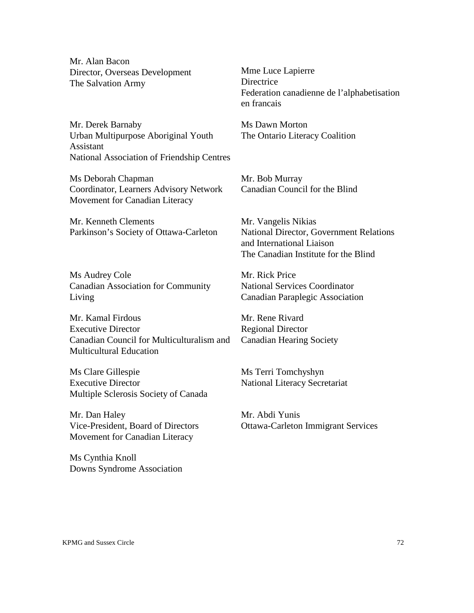Mr. Alan Bacon Director, Overseas Development The Salvation Army

Mme Luce Lapierre **Directrice** Federation canadienne de l'alphabetisation en francais

Mr. Derek Barnaby Urban Multipurpose Aboriginal Youth Assistant National Association of Friendship Centres

Ms Deborah Chapman Coordinator, Learners Advisory Network Movement for Canadian Literacy

Mr. Kenneth Clements Parkinson's Society of Ottawa-Carleton

Ms Audrey Cole Canadian Association for Community Living

Mr. Kamal Firdous Executive Director Canadian Council for Multiculturalism and Multicultural Education

Ms Clare Gillespie Executive Director Multiple Sclerosis Society of Canada

Mr. Dan Haley Vice-President, Board of Directors Movement for Canadian Literacy

Ms Cynthia Knoll Downs Syndrome Association Ms Dawn Morton The Ontario Literacy Coalition

Mr. Bob Murray Canadian Council for the Blind

Mr. Vangelis Nikias National Director, Government Relations and International Liaison The Canadian Institute for the Blind

Mr. Rick Price National Services Coordinator Canadian Paraplegic Association

Mr. Rene Rivard Regional Director Canadian Hearing Society

Ms Terri Tomchyshyn National Literacy Secretariat

Mr. Abdi Yunis Ottawa-Carleton Immigrant Services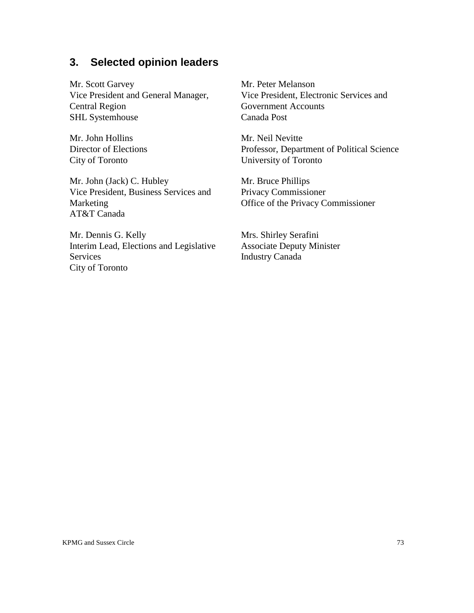## **3. Selected opinion leaders**

Mr. Scott Garvey Vice President and General Manager, Central Region SHL Systemhouse

Mr. John Hollins Director of Elections City of Toronto

Mr. John (Jack) C. Hubley Vice President, Business Services and Marketing AT&T Canada

Mr. Dennis G. Kelly Interim Lead, Elections and Legislative Services City of Toronto

Mr. Peter Melanson Vice President, Electronic Services and Government Accounts Canada Post

Mr. Neil Nevitte Professor, Department of Political Science University of Toronto

Mr. Bruce Phillips Privacy Commissioner Office of the Privacy Commissioner

Mrs. Shirley Serafini Associate Deputy Minister Industry Canada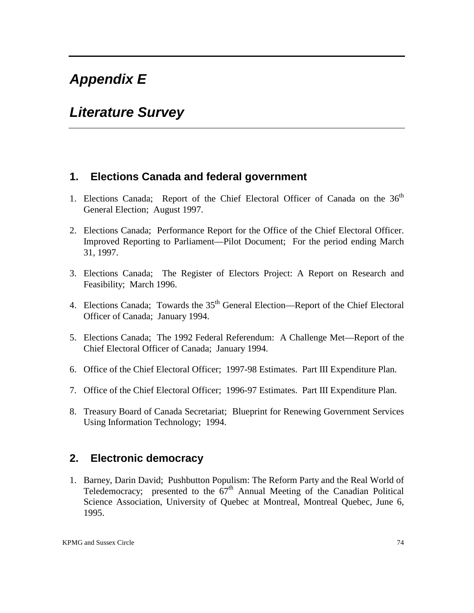# *Appendix E*

# *Literature Survey*

#### **1. Elections Canada and federal government**

- 1. Elections Canada; Report of the Chief Electoral Officer of Canada on the 36<sup>th</sup> General Election; August 1997.
- 2. Elections Canada; Performance Report for the Office of the Chief Electoral Officer. Improved Reporting to Parliament—Pilot Document; For the period ending March 31, 1997.
- 3. Elections Canada; The Register of Electors Project: A Report on Research and Feasibility; March 1996.
- 4. Elections Canada; Towards the 35<sup>th</sup> General Election—Report of the Chief Electoral Officer of Canada; January 1994.
- 5. Elections Canada; The 1992 Federal Referendum: A Challenge Met—Report of the Chief Electoral Officer of Canada; January 1994.
- 6. Office of the Chief Electoral Officer; 1997-98 Estimates. Part III Expenditure Plan.
- 7. Office of the Chief Electoral Officer; 1996-97 Estimates. Part III Expenditure Plan.
- 8. Treasury Board of Canada Secretariat; Blueprint for Renewing Government Services Using Information Technology; 1994.

#### **2. Electronic democracy**

1. Barney, Darin David; Pushbutton Populism: The Reform Party and the Real World of Teledemocracy; presented to the  $67<sup>th</sup>$  Annual Meeting of the Canadian Political Science Association, University of Quebec at Montreal, Montreal Quebec, June 6, 1995.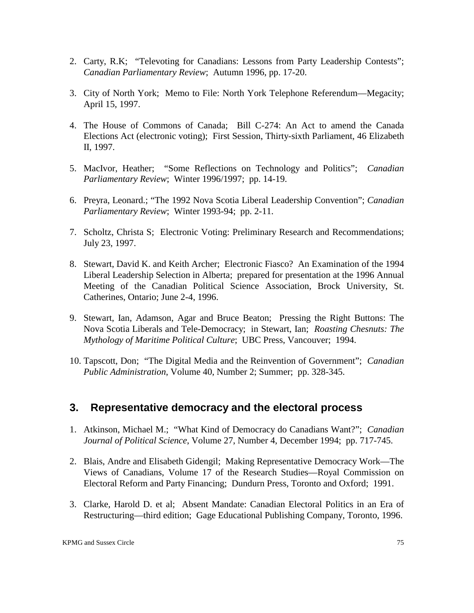- 2. Carty, R.K; "Televoting for Canadians: Lessons from Party Leadership Contests"; *Canadian Parliamentary Review*; Autumn 1996, pp. 17-20.
- 3. City of North York; Memo to File: North York Telephone Referendum—Megacity; April 15, 1997.
- 4. The House of Commons of Canada; Bill C-274: An Act to amend the Canada Elections Act (electronic voting); First Session, Thirty-sixth Parliament, 46 Elizabeth II, 1997.
- 5. MacIvor, Heather; "Some Reflections on Technology and Politics"; *Canadian Parliamentary Review*; Winter 1996/1997; pp. 14-19.
- 6. Preyra, Leonard.; "The 1992 Nova Scotia Liberal Leadership Convention"; *Canadian Parliamentary Review*; Winter 1993-94; pp. 2-11.
- 7. Scholtz, Christa S; Electronic Voting: Preliminary Research and Recommendations; July 23, 1997.
- 8. Stewart, David K. and Keith Archer; Electronic Fiasco? An Examination of the 1994 Liberal Leadership Selection in Alberta; prepared for presentation at the 1996 Annual Meeting of the Canadian Political Science Association, Brock University, St. Catherines, Ontario; June 2-4, 1996.
- 9. Stewart, Ian, Adamson, Agar and Bruce Beaton; Pressing the Right Buttons: The Nova Scotia Liberals and Tele-Democracy; in Stewart, Ian; *Roasting Chesnuts: The Mythology of Maritime Political Culture*; UBC Press, Vancouver; 1994.
- 10. Tapscott, Don; "The Digital Media and the Reinvention of Government"; *Canadian Public Administration*, Volume 40, Number 2; Summer; pp. 328-345.

### **3. Representative democracy and the electoral process**

- 1. Atkinson, Michael M.; "What Kind of Democracy do Canadians Want?"; *Canadian Journal of Political Science*, Volume 27, Number 4, December 1994; pp. 717-745.
- 2. Blais, Andre and Elisabeth Gidengil; Making Representative Democracy Work—The Views of Canadians, Volume 17 of the Research Studies—Royal Commission on Electoral Reform and Party Financing; Dundurn Press, Toronto and Oxford; 1991.
- 3. Clarke, Harold D. et al; Absent Mandate: Canadian Electoral Politics in an Era of Restructuring—third edition; Gage Educational Publishing Company, Toronto, 1996.